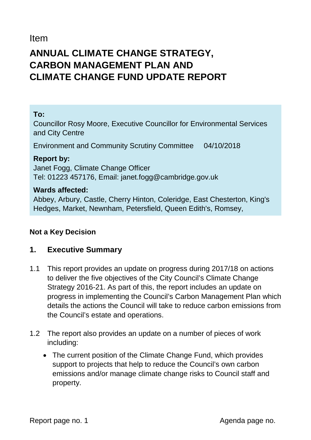Item

# **ANNUAL CLIMATE CHANGE STRATEGY, CARBON MANAGEMENT PLAN AND CLIMATE CHANGE FUND UPDATE REPORT**

#### **To:**

Councillor Rosy Moore, Executive Councillor for Environmental Services and City Centre

Environment and Community Scrutiny Committee 04/10/2018

**Report by:**  Janet Fogg, Climate Change Officer Tel: 01223 457176, Email: janet.fogg@cambridge.gov.uk

#### **Wards affected:**

Abbey, Arbury, Castle, Cherry Hinton, Coleridge, East Chesterton, King's Hedges, Market, Newnham, Petersfield, Queen Edith's, Romsey,

#### **Not a Key Decision**

### **1. Executive Summary**

- 1.1 This report provides an update on progress during 2017/18 on actions to deliver the five objectives of the City Council's Climate Change Strategy 2016-21. As part of this, the report includes an update on progress in implementing the Council's Carbon Management Plan which details the actions the Council will take to reduce carbon emissions from the Council's estate and operations.
- 1.2 The report also provides an update on a number of pieces of work including:
	- The current position of the Climate Change Fund, which provides support to projects that help to reduce the Council's own carbon emissions and/or manage climate change risks to Council staff and property.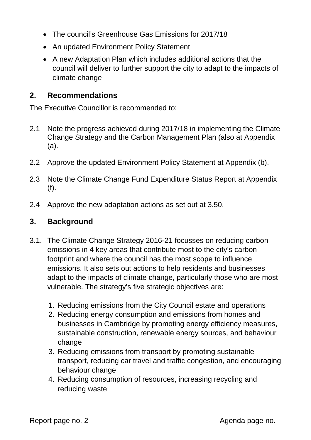- The council's Greenhouse Gas Emissions for 2017/18
- An updated Environment Policy Statement
- A new Adaptation Plan which includes additional actions that the council will deliver to further support the city to adapt to the impacts of climate change

### **2. Recommendations**

The Executive Councillor is recommended to:

- 2.1 Note the progress achieved during 2017/18 in implementing the Climate Change Strategy and the Carbon Management Plan (also at Appendix (a).
- 2.2 Approve the updated Environment Policy Statement at Appendix (b).
- 2.3 Note the Climate Change Fund Expenditure Status Report at Appendix (f).
- 2.4 Approve the new adaptation actions as set out at 3.50.

### **3. Background**

- 3.1. The Climate Change Strategy 2016-21 focusses on reducing carbon emissions in 4 key areas that contribute most to the city's carbon footprint and where the council has the most scope to influence emissions. It also sets out actions to help residents and businesses adapt to the impacts of climate change, particularly those who are most vulnerable. The strategy's five strategic objectives are:
	- 1. Reducing emissions from the City Council estate and operations
	- 2. Reducing energy consumption and emissions from homes and businesses in Cambridge by promoting energy efficiency measures, sustainable construction, renewable energy sources, and behaviour change
	- 3. Reducing emissions from transport by promoting sustainable transport, reducing car travel and traffic congestion, and encouraging behaviour change
	- 4. Reducing consumption of resources, increasing recycling and reducing waste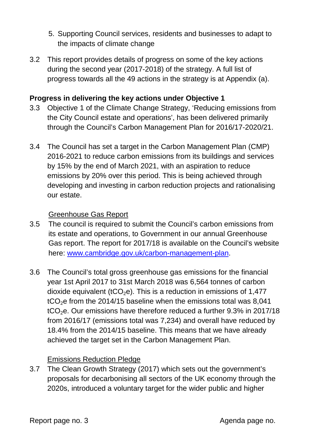- 5. Supporting Council services, residents and businesses to adapt to the impacts of climate change
- 3.2 This report provides details of progress on some of the key actions during the second year (2017-2018) of the strategy. A full list of progress towards all the 49 actions in the strategy is at Appendix (a).

#### **Progress in delivering the key actions under Objective 1**

- 3.3 Objective 1 of the Climate Change Strategy, 'Reducing emissions from the City Council estate and operations', has been delivered primarily through the Council's Carbon Management Plan for 2016/17-2020/21.
- 3.4 The Council has set a target in the Carbon Management Plan (CMP) 2016-2021 to reduce carbon emissions from its buildings and services by 15% by the end of March 2021, with an aspiration to reduce emissions by 20% over this period. This is being achieved through developing and investing in carbon reduction projects and rationalising our estate.

#### Greenhouse Gas Report

- 3.5 The council is required to submit the Council's carbon emissions from its estate and operations, to Government in our annual Greenhouse Gas report. The report for 2017/18 is available on the Council's website here: [www.cambridge.gov.uk/carbon-management-plan.](http://www.cambridge.gov.uk/carbon-management-plan)
- 3.6 The Council's total gross greenhouse gas emissions for the financial year 1st April 2017 to 31st March 2018 was 6,564 tonnes of carbon dioxide equivalent (tCO<sub>2</sub>e). This is a reduction in emissions of 1,477  $tCO<sub>2</sub>e$  from the 2014/15 baseline when the emissions total was 8,041  $tCO<sub>2</sub>e$ . Our emissions have therefore reduced a further 9.3% in 2017/18 from 2016/17 (emissions total was 7,234) and overall have reduced by 18.4% from the 2014/15 baseline. This means that we have already achieved the target set in the Carbon Management Plan.

#### Emissions Reduction Pledge

3.7 The Clean Growth Strategy (2017) which sets out the government's proposals for decarbonising all sectors of the UK economy through the 2020s, introduced a voluntary target for the wider public and higher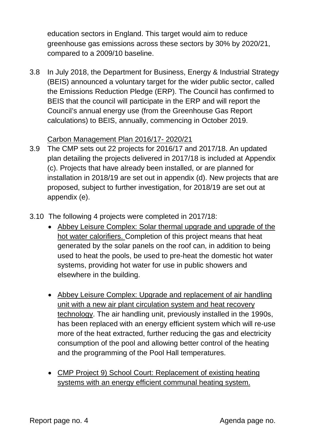education sectors in England. This target would aim to reduce greenhouse gas emissions across these sectors by 30% by 2020/21, compared to a 2009/10 baseline.

3.8 In July 2018, the Department for Business, Energy & Industrial Strategy (BEIS) announced a voluntary target for the wider public sector, called the Emissions Reduction Pledge (ERP). The Council has confirmed to BEIS that the council will participate in the ERP and will report the Council's annual energy use (from the Greenhouse Gas Report calculations) to BEIS, annually, commencing in October 2019.

#### Carbon Management Plan 2016/17- 2020/21

- 3.9 The CMP sets out 22 projects for 2016/17 and 2017/18. An updated plan detailing the projects delivered in 2017/18 is included at Appendix (c). Projects that have already been installed, or are planned for installation in 2018/19 are set out in appendix (d). New projects that are proposed, subject to further investigation, for 2018/19 are set out at appendix (e).
- 3.10 The following 4 projects were completed in 2017/18:
	- Abbey Leisure Complex: Solar thermal upgrade and upgrade of the hot water calorifiers. Completion of this project means that heat generated by the solar panels on the roof can, in addition to being used to heat the pools, be used to pre-heat the domestic hot water systems, providing hot water for use in public showers and elsewhere in the building.
	- Abbey Leisure Complex: Upgrade and replacement of air handling unit with a new air plant circulation system and heat recovery technology. The air handling unit, previously installed in the 1990s, has been replaced with an energy efficient system which will re-use more of the heat extracted, further reducing the gas and electricity consumption of the pool and allowing better control of the heating and the programming of the Pool Hall temperatures.
	- CMP Project 9) School Court: Replacement of existing heating systems with an energy efficient communal heating system.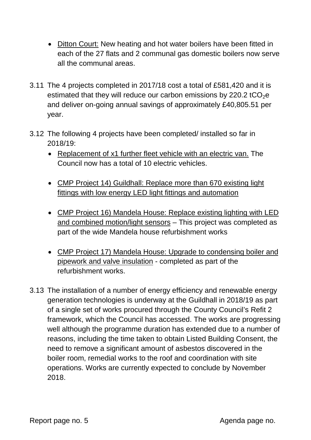- Ditton Court: New heating and hot water boilers have been fitted in each of the 27 flats and 2 communal gas domestic boilers now serve all the communal areas.
- 3.11 The 4 projects completed in 2017/18 cost a total of £581,420 and it is estimated that they will reduce our carbon emissions by 220.2 tCO $_2$ e and deliver on-going annual savings of approximately £40,805.51 per year.
- 3.12 The following 4 projects have been completed/ installed so far in 2018/19:
	- Replacement of x1 further fleet vehicle with an electric van. The Council now has a total of 10 electric vehicles.
	- CMP Project 14) Guildhall: Replace more than 670 existing light fittings with low energy LED light fittings and automation
	- CMP Project 16) Mandela House: Replace existing lighting with LED and combined motion/light sensors – This project was completed as part of the wide Mandela house refurbishment works
	- CMP Project 17) Mandela House: Upgrade to condensing boiler and pipework and valve insulation - completed as part of the refurbishment works.
- 3.13 The installation of a number of energy efficiency and renewable energy generation technologies is underway at the Guildhall in 2018/19 as part of a single set of works procured through the County Council's Refit 2 framework, which the Council has accessed. The works are progressing well although the programme duration has extended due to a number of reasons, including the time taken to obtain Listed Building Consent, the need to remove a significant amount of asbestos discovered in the boiler room, remedial works to the roof and coordination with site operations. Works are currently expected to conclude by November 2018.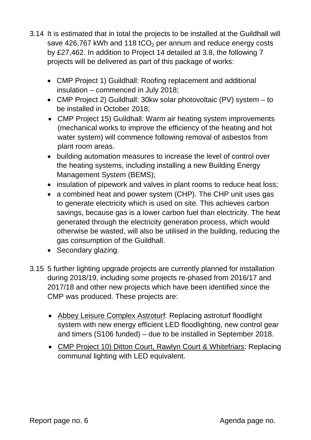- 3.14 It is estimated that in total the projects to be installed at the Guildhall will save 426,767 kWh and 118  $tCO<sub>2</sub>$  per annum and reduce energy costs by £27,462. In addition to Project 14 detailed at 3.8, the following 7 projects will be delivered as part of this package of works:
	- CMP Project 1) Guildhall: Roofing replacement and additional insulation – commenced in July 2018;
	- CMP Project 2) Guildhall: 30kw solar photovoltaic (PV) system to be installed in October 2018;
	- CMP Project 15) Guildhall: Warm air heating system improvements (mechanical works to improve the efficiency of the heating and hot water system) will commence following removal of asbestos from plant room areas.
	- building automation measures to increase the level of control over the heating systems, including installing a new Building Energy Management System (BEMS);
	- insulation of pipework and valves in plant rooms to reduce heat loss;
	- a combined heat and power system (CHP). The CHP unit uses gas to generate electricity which is used on site. This achieves carbon savings, because gas is a lower carbon fuel than electricity. The heat generated through the electricity generation process, which would otherwise be wasted, will also be utilised in the building, reducing the gas consumption of the Guildhall.
	- Secondary glazing.
- 3.15 5 further lighting upgrade projects are currently planned for installation during 2018/19, including some projects re-phased from 2016/17 and 2017/18 and other new projects which have been identified since the CMP was produced. These projects are:
	- Abbey Leisure Complex Astroturf: Replacing astroturf floodlight system with new energy efficient LED floodlighting, new control gear and timers (S106 funded) – due to be installed in September 2018.
	- CMP Project 10) Ditton Court, Rawlyn Court & Whitefriars: Replacing communal lighting with LED equivalent.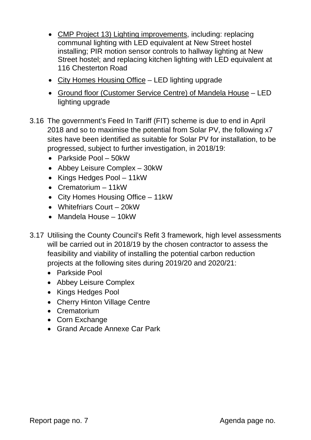- CMP Project 13) Lighting improvements, including: replacing communal lighting with LED equivalent at New Street hostel installing; PIR motion sensor controls to hallway lighting at New Street hostel; and replacing kitchen lighting with LED equivalent at 116 Chesterton Road
- City Homes Housing Office LED lighting upgrade
- Ground floor (Customer Service Centre) of Mandela House LED lighting upgrade
- 3.16 The government's Feed In Tariff (FIT) scheme is due to end in April 2018 and so to maximise the potential from Solar PV, the following x7 sites have been identified as suitable for Solar PV for installation, to be progressed, subject to further investigation, in 2018/19:
	- Parkside Pool 50kW
	- Abbey Leisure Complex 30kW
	- Kings Hedges Pool 11kW
	- Crematorium 11kW
	- City Homes Housing Office 11kW
	- Whitefriars Court 20kW
	- Mandela House 10kW
- 3.17 Utilising the County Council's Refit 3 framework, high level assessments will be carried out in 2018/19 by the chosen contractor to assess the feasibility and viability of installing the potential carbon reduction projects at the following sites during 2019/20 and 2020/21:
	- Parkside Pool
	- Abbey Leisure Complex
	- Kings Hedges Pool
	- Cherry Hinton Village Centre
	- Crematorium
	- Corn Exchange
	- Grand Arcade Annexe Car Park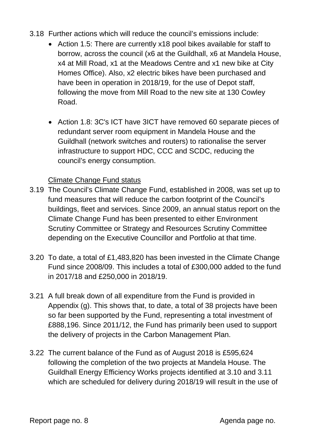- 3.18 Further actions which will reduce the council's emissions include:
	- Action 1.5: There are currently x18 pool bikes available for staff to borrow, across the council (x6 at the Guildhall, x6 at Mandela House, x4 at Mill Road, x1 at the Meadows Centre and x1 new bike at City Homes Office). Also, x2 electric bikes have been purchased and have been in operation in 2018/19, for the use of Depot staff, following the move from Mill Road to the new site at 130 Cowley Road.
	- Action 1.8: 3C's ICT have 3ICT have removed 60 separate pieces of redundant server room equipment in Mandela House and the Guildhall (network switches and routers) to rationalise the server infrastructure to support HDC, CCC and SCDC, reducing the council's energy consumption.

#### Climate Change Fund status

- 3.19 The Council's Climate Change Fund, established in 2008, was set up to fund measures that will reduce the carbon footprint of the Council's buildings, fleet and services. Since 2009, an annual status report on the Climate Change Fund has been presented to either Environment Scrutiny Committee or Strategy and Resources Scrutiny Committee depending on the Executive Councillor and Portfolio at that time.
- 3.20 To date, a total of £1,483,820 has been invested in the Climate Change Fund since 2008/09. This includes a total of £300,000 added to the fund in 2017/18 and £250,000 in 2018/19.
- 3.21 A full break down of all expenditure from the Fund is provided in Appendix (g). This shows that, to date, a total of 38 projects have been so far been supported by the Fund, representing a total investment of £888,196. Since 2011/12, the Fund has primarily been used to support the delivery of projects in the Carbon Management Plan.
- 3.22 The current balance of the Fund as of August 2018 is £595,624 following the completion of the two projects at Mandela House. The Guildhall Energy Efficiency Works projects identified at 3.10 and 3.11 which are scheduled for delivery during 2018/19 will result in the use of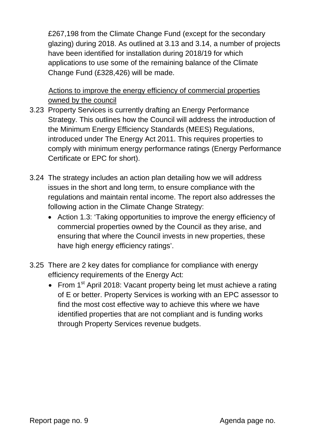£267,198 from the Climate Change Fund (except for the secondary glazing) during 2018. As outlined at 3.13 and 3.14, a number of projects have been identified for installation during 2018/19 for which applications to use some of the remaining balance of the Climate Change Fund (£328,426) will be made.

Actions to improve the energy efficiency of commercial properties owned by the council

- 3.23 Property Services is currently drafting an Energy Performance Strategy. This outlines how the Council will address the introduction of the Minimum Energy Efficiency Standards (MEES) Regulations, introduced under The Energy Act 2011. This requires properties to comply with minimum energy performance ratings (Energy Performance Certificate or EPC for short).
- 3.24 The strategy includes an action plan detailing how we will address issues in the short and long term, to ensure compliance with the regulations and maintain rental income. The report also addresses the following action in the Climate Change Strategy:
	- Action 1.3: 'Taking opportunities to improve the energy efficiency of commercial properties owned by the Council as they arise, and ensuring that where the Council invests in new properties, these have high energy efficiency ratings'.
- 3.25 There are 2 key dates for compliance for compliance with energy efficiency requirements of the Energy Act:
	- From 1<sup>st</sup> April 2018: Vacant property being let must achieve a rating of E or better. Property Services is working with an EPC assessor to find the most cost effective way to achieve this where we have identified properties that are not compliant and is funding works through Property Services revenue budgets.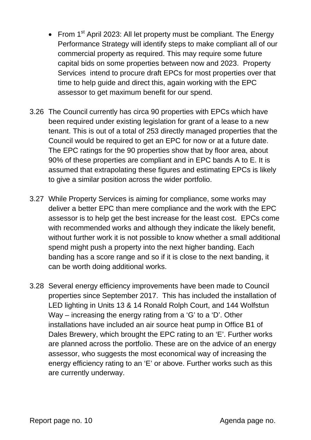- From 1<sup>st</sup> April 2023: All let property must be compliant. The Energy Performance Strategy will identify steps to make compliant all of our commercial property as required. This may require some future capital bids on some properties between now and 2023. Property Services intend to procure draft EPCs for most properties over that time to help guide and direct this, again working with the EPC assessor to get maximum benefit for our spend.
- 3.26 The Council currently has circa 90 properties with EPCs which have been required under existing legislation for grant of a lease to a new tenant. This is out of a total of 253 directly managed properties that the Council would be required to get an EPC for now or at a future date. The EPC ratings for the 90 properties show that by floor area, about 90% of these properties are compliant and in EPC bands A to E. It is assumed that extrapolating these figures and estimating EPCs is likely to give a similar position across the wider portfolio.
- 3.27 While Property Services is aiming for compliance, some works may deliver a better EPC than mere compliance and the work with the EPC assessor is to help get the best increase for the least cost. EPCs come with recommended works and although they indicate the likely benefit, without further work it is not possible to know whether a small additional spend might push a property into the next higher banding. Each banding has a score range and so if it is close to the next banding, it can be worth doing additional works.
- 3.28 Several energy efficiency improvements have been made to Council properties since September 2017. This has included the installation of LED lighting in Units 13 & 14 Ronald Rolph Court, and 144 Wolfstun Way – increasing the energy rating from a 'G' to a 'D'. Other installations have included an air source heat pump in Office B1 of Dales Brewery, which brought the EPC rating to an 'E'. Further works are planned across the portfolio. These are on the advice of an energy assessor, who suggests the most economical way of increasing the energy efficiency rating to an 'E' or above. Further works such as this are currently underway.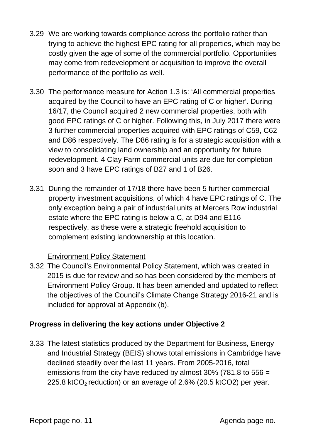- 3.29 We are working towards compliance across the portfolio rather than trying to achieve the highest EPC rating for all properties, which may be costly given the age of some of the commercial portfolio. Opportunities may come from redevelopment or acquisition to improve the overall performance of the portfolio as well.
- 3.30 The performance measure for Action 1.3 is: 'All commercial properties acquired by the Council to have an EPC rating of C or higher'. During 16/17, the Council acquired 2 new commercial properties, both with good EPC ratings of C or higher. Following this, in July 2017 there were 3 further commercial properties acquired with EPC ratings of C59, C62 and D86 respectively. The D86 rating is for a strategic acquisition with a view to consolidating land ownership and an opportunity for future redevelopment. 4 Clay Farm commercial units are due for completion soon and 3 have EPC ratings of B27 and 1 of B26.
- 3.31 During the remainder of 17/18 there have been 5 further commercial property investment acquisitions, of which 4 have EPC ratings of C. The only exception being a pair of industrial units at Mercers Row industrial estate where the EPC rating is below a C, at D94 and E116 respectively, as these were a strategic freehold acquisition to complement existing landownership at this location.

### Environment Policy Statement

3.32 The Council's Environmental Policy Statement, which was created in 2015 is due for review and so has been considered by the members of Environment Policy Group. It has been amended and updated to reflect the objectives of the Council's Climate Change Strategy 2016-21 and is included for approval at Appendix (b).

### **Progress in delivering the key actions under Objective 2**

3.33 The latest statistics produced by the Department for Business, Energy and Industrial Strategy (BEIS) shows total emissions in Cambridge have declined steadily over the last 11 years. From 2005-2016, total emissions from the city have reduced by almost 30% (781.8 to 556 = 225.8 ktCO<sub>2</sub> reduction) or an average of 2.6% (20.5 ktCO2) per year.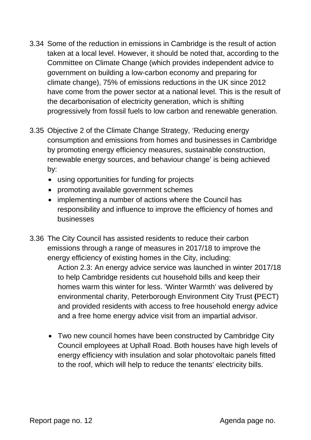- 3.34 Some of the reduction in emissions in Cambridge is the result of action taken at a local level. However, it should be noted that, according to the Committee on Climate Change (which provides independent advice to government on building a low-carbon economy and preparing for climate change), 75% of emissions reductions in the UK since 2012 have come from the power sector at a national level. This is the result of the decarbonisation of electricity generation, which is shifting progressively from fossil fuels to low carbon and renewable generation.
- 3.35 Objective 2 of the Climate Change Strategy, 'Reducing energy consumption and emissions from homes and businesses in Cambridge by promoting energy efficiency measures, sustainable construction, renewable energy sources, and behaviour change' is being achieved by:
	- using opportunities for funding for projects
	- promoting available government schemes
	- implementing a number of actions where the Council has responsibility and influence to improve the efficiency of homes and businesses
- 3.36 The City Council has assisted residents to reduce their carbon emissions through a range of measures in 2017/18 to improve the energy efficiency of existing homes in the City, including:

Action 2.3: An energy advice service was launched in winter 2017/18 to help Cambridge residents cut household bills and keep their homes warm this winter for less. 'Winter Warmth' was delivered by environmental charity, Peterborough Environment City Trust **(**PECT) and provided residents with access to free household energy advice and a free home energy advice visit from an impartial advisor.

• Two new council homes have been constructed by Cambridge City Council employees at Uphall Road. Both houses have high levels of energy efficiency with insulation and solar photovoltaic panels fitted to the roof, which will help to reduce the tenants' electricity bills.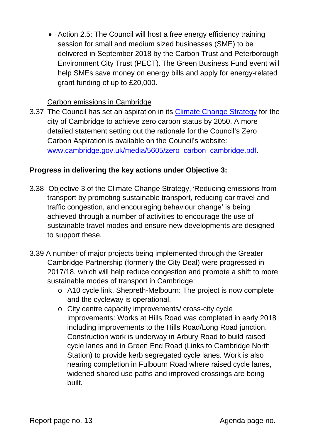• Action 2.5: The Council will host a free energy efficiency training session for small and medium sized businesses (SME) to be delivered in September 2018 by the Carbon Trust and Peterborough Environment City Trust (PECT). The Green Business Fund event will help SMEs save money on energy bills and apply for energy-related grant funding of up to £20,000.

#### Carbon emissions in Cambridge

3.37 The Council has set an aspiration in its [Climate Change Strategy](https://www.cambridge.gov.uk/climate-change-strategy) for the city of Cambridge to achieve zero carbon status by 2050. A more detailed statement setting out the rationale for the Council's Zero Carbon Aspiration is available on the Council's website: [www.cambridge.gov.uk/media/5605/zero\\_carbon\\_cambridge.pdf.](http://www.cambridge.gov.uk/media/5605/zero_carbon_cambridge.pdf)

## **Progress in delivering the key actions under Objective 3:**

- 3.38 Objective 3 of the Climate Change Strategy, 'Reducing emissions from transport by promoting sustainable transport, reducing car travel and traffic congestion, and encouraging behaviour change' is being achieved through a number of activities to encourage the use of sustainable travel modes and ensure new developments are designed to support these.
- 3.39 A number of major projects being implemented through the Greater Cambridge Partnership (formerly the City Deal) were progressed in 2017/18, which will help reduce congestion and promote a shift to more sustainable modes of transport in Cambridge:
	- o A10 cycle link, Shepreth-Melbourn: The project is now complete and the cycleway is operational.
	- o City centre capacity improvements/ cross-city cycle improvements: Works at Hills Road was completed in early 2018 including improvements to the Hills Road/Long Road junction. Construction work is underway in Arbury Road to build raised cycle lanes and in Green End Road (Links to Cambridge North Station) to provide kerb segregated cycle lanes. Work is also nearing completion in Fulbourn Road where raised cycle lanes, widened shared use paths and improved crossings are being built.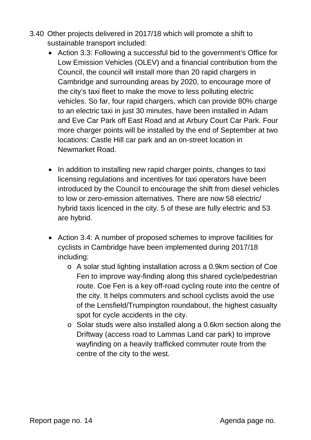- 3.40 Other projects delivered in 2017/18 which will promote a shift to sustainable transport included:
	- Action 3.3: Following a successful bid to the government's Office for Low Emission Vehicles (OLEV) and a financial contribution from the Council, the council will install more than 20 rapid chargers in Cambridge and surrounding areas by 2020, to encourage more of the city's taxi fleet to make the move to less polluting electric vehicles. So far, four rapid chargers, which can provide 80% charge to an electric taxi in just 30 minutes, have been installed in Adam and Eve Car Park off East Road and at Arbury Court Car Park. Four more charger points will be installed by the end of September at two locations: Castle Hill car park and an on-street location in Newmarket Road.
	- In addition to installing new rapid charger points, changes to taxi licensing regulations and incentives for taxi operators have been introduced by the Council to encourage the shift from diesel vehicles to low or zero-emission alternatives. There are now 58 electric/ hybrid taxis licenced in the city. 5 of these are fully electric and 53 are hybrid.
	- Action 3.4: A number of proposed schemes to improve facilities for cyclists in Cambridge have been implemented during 2017/18 including:
		- o A solar stud lighting installation across a 0.9km section of Coe Fen to improve way-finding along this shared cycle/pedestrian route. Coe Fen is a key off-road cycling route into the centre of the city. It helps commuters and school cyclists avoid the use of the Lensfield/Trumpington roundabout, the highest casualty spot for cycle accidents in the city.
		- o Solar studs were also installed along a 0.6km section along the Driftway (access road to Lammas Land car park) to improve wayfinding on a heavily trafficked commuter route from the centre of the city to the west.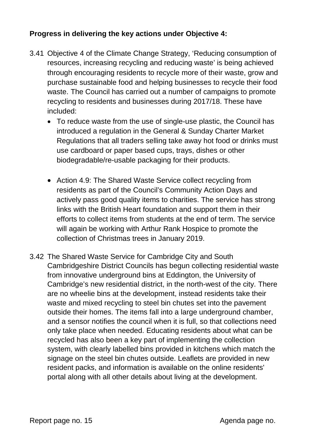## **Progress in delivering the key actions under Objective 4:**

- 3.41 Objective 4 of the Climate Change Strategy, 'Reducing consumption of resources, increasing recycling and reducing waste' is being achieved through encouraging residents to recycle more of their waste, grow and purchase sustainable food and helping businesses to recycle their food waste. The Council has carried out a number of campaigns to promote recycling to residents and businesses during 2017/18. These have included:
	- To reduce waste from the use of single-use plastic, the Council has introduced a regulation in the General & Sunday Charter Market Regulations that all traders selling take away hot food or drinks must use cardboard or paper based cups, trays, dishes or other biodegradable/re-usable packaging for their products.
	- Action 4.9: The Shared Waste Service collect recycling from residents as part of the Council's Community Action Days and actively pass good quality items to charities. The service has strong links with the British Heart foundation and support them in their efforts to collect items from students at the end of term. The service will again be working with Arthur Rank Hospice to promote the collection of Christmas trees in January 2019.
- 3.42 The Shared Waste Service for Cambridge City and South Cambridgeshire District Councils has begun collecting residential waste from innovative underground bins at Eddington, the University of Cambridge's new residential district, in the north-west of the city. There are no wheelie bins at the development, instead residents take their waste and mixed recycling to steel bin chutes set into the pavement outside their homes. The items fall into a large underground chamber, and a sensor notifies the council when it is full, so that collections need only take place when needed. Educating residents about what can be recycled has also been a key part of implementing the collection system, with clearly labelled bins provided in kitchens which match the signage on the steel bin chutes outside. Leaflets are provided in new resident packs, and information is available on the online residents' portal along with all other details about living at the development.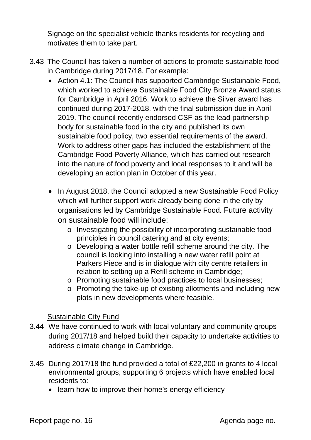Signage on the specialist vehicle thanks residents for recycling and motivates them to take part.

- 3.43 The Council has taken a number of actions to promote sustainable food in Cambridge during 2017/18. For example:
	- Action 4.1: The Council has supported Cambridge Sustainable Food, which worked to achieve Sustainable Food City Bronze Award status for Cambridge in April 2016. Work to achieve the Silver award has continued during 2017-2018, with the final submission due in April 2019. The council recently endorsed CSF as the lead partnership body for sustainable food in the city and published its own sustainable food policy, two essential requirements of the award. Work to address other gaps has included the establishment of the Cambridge Food Poverty Alliance, which has carried out research into the nature of food poverty and local responses to it and will be developing an action plan in October of this year.
	- In August 2018, the Council adopted a new Sustainable Food Policy which will further support work already being done in the city by organisations led by Cambridge Sustainable Food. Future activity on sustainable food will include:
		- o Investigating the possibility of incorporating sustainable food principles in council catering and at city events;
		- o Developing a water bottle refill scheme around the city. The council is looking into installing a new water refill point at Parkers Piece and is in dialogue with city centre retailers in relation to setting up a Refill scheme in Cambridge;
		- o Promoting sustainable food practices to local businesses;
		- o Promoting the take-up of existing allotments and including new plots in new developments where feasible.

### Sustainable City Fund

- 3.44 We have continued to work with local voluntary and community groups during 2017/18 and helped build their capacity to undertake activities to address climate change in Cambridge.
- 3.45 During 2017/18 the fund provided a total of £22,200 in grants to 4 local environmental groups, supporting 6 projects which have enabled local residents to:
	- learn how to improve their home's energy efficiency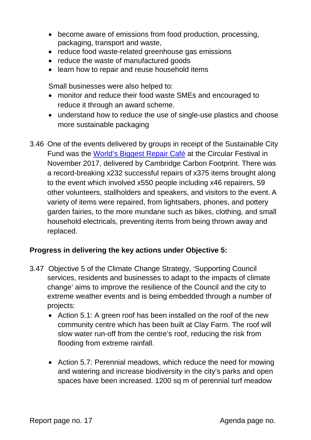- become aware of emissions from food production, processing, packaging, transport and waste,
- reduce food waste-related greenhouse gas emissions
- reduce the waste of manufactured goods
- learn how to repair and reuse household items

Small businesses were also helped to:

- monitor and reduce their food waste SMEs and encouraged to reduce it through an award scheme.
- understand how to reduce the use of single-use plastics and choose more sustainable packaging
- 3.46 One of the events delivered by groups in receipt of the Sustainable City Fund was the [World's Biggest Repair Café](http://circularcambridge.org/blog/the-worlds-biggest-repair-cafe/) at the Circular Festival in November 2017, delivered by Cambridge Carbon Footprint. There was a record-breaking x232 successful repairs of x375 items brought along to the event which involved x550 people including x46 repairers, 59 other volunteers, stallholders and speakers, and visitors to the event. A variety of items were repaired, from lightsabers, phones, and pottery garden fairies, to the more mundane such as bikes, clothing, and small household electricals, preventing items from being thrown away and replaced.

### **Progress in delivering the key actions under Objective 5:**

- 3.47 Objective 5 of the Climate Change Strategy, 'Supporting Council services, residents and businesses to adapt to the impacts of climate change' aims to improve the resilience of the Council and the city to extreme weather events and is being embedded through a number of projects:
	- Action 5.1: A green roof has been installed on the roof of the new community centre which has been built at Clay Farm. The roof will slow water run-off from the centre's roof, reducing the risk from flooding from extreme rainfall.
	- Action 5.7: Perennial meadows, which reduce the need for mowing and watering and increase biodiversity in the city's parks and open spaces have been increased. 1200 sq m of perennial turf meadow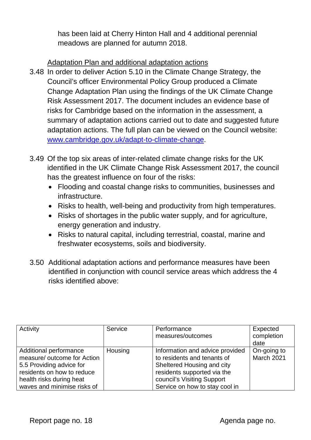has been laid at Cherry Hinton Hall and 4 additional perennial meadows are planned for autumn 2018.

## Adaptation Plan and additional adaptation actions

- 3.48 In order to deliver Action 5.10 in the Climate Change Strategy, the Council's officer Environmental Policy Group produced a Climate Change Adaptation Plan using the findings of the UK Climate Change Risk Assessment 2017. The document includes an evidence base of risks for Cambridge based on the information in the assessment, a summary of adaptation actions carried out to date and suggested future adaptation actions. The full plan can be viewed on the Council website: [www.cambridge.gov.uk/adapt-to-climate-change.](https://www.cambridge.gov.uk/adapt-to-climate-change)
- 3.49 Of the top six areas of inter-related climate change risks for the UK identified in the UK Climate Change Risk Assessment 2017, the council has the greatest influence on four of the risks:
	- Flooding and coastal change risks to communities, businesses and infrastructure.
	- Risks to health, well-being and productivity from high temperatures.
	- Risks of shortages in the public water supply, and for agriculture, energy generation and industry.
	- Risks to natural capital, including terrestrial, coastal, marine and freshwater ecosystems, soils and biodiversity.
- 3.50 Additional adaptation actions and performance measures have been identified in conjunction with council service areas which address the 4 risks identified above:

| Activity                                                                                                                                                                   | Service | Performance<br>measures/outcomes                                                                                                                                                            | Expected<br>completion<br>date |
|----------------------------------------------------------------------------------------------------------------------------------------------------------------------------|---------|---------------------------------------------------------------------------------------------------------------------------------------------------------------------------------------------|--------------------------------|
| Additional performance<br>measure/ outcome for Action<br>5.5 Providing advice for<br>residents on how to reduce<br>health risks during heat<br>waves and minimise risks of | Housing | Information and advice provided<br>to residents and tenants of<br>Sheltered Housing and city<br>residents supported via the<br>council's Visiting Support<br>Service on how to stay cool in | On-going to<br>March 2021      |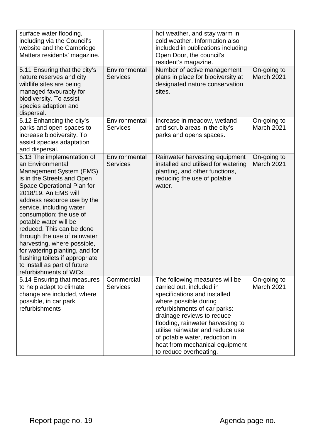| surface water flooding,<br>including via the Council's<br>website and the Cambridge<br>Matters residents' magazine.                                                                                                                                                                                                                                                                                                                                                                                     |                                  | hot weather, and stay warm in<br>cold weather. Information also<br>included in publications including<br>Open Door, the council's<br>resident's magazine.                                                                                                                                                                                                |                                  |
|---------------------------------------------------------------------------------------------------------------------------------------------------------------------------------------------------------------------------------------------------------------------------------------------------------------------------------------------------------------------------------------------------------------------------------------------------------------------------------------------------------|----------------------------------|----------------------------------------------------------------------------------------------------------------------------------------------------------------------------------------------------------------------------------------------------------------------------------------------------------------------------------------------------------|----------------------------------|
| 5.11 Ensuring that the city's<br>nature reserves and city<br>wildlife sites are being<br>managed favourably for<br>biodiversity. To assist<br>species adaption and<br>dispersal.                                                                                                                                                                                                                                                                                                                        | Environmental<br><b>Services</b> | Number of active management<br>plans in place for biodiversity at<br>designated nature conservation<br>sites.                                                                                                                                                                                                                                            | On-going to<br>March 2021        |
| 5.12 Enhancing the city's<br>parks and open spaces to<br>increase biodiversity. To<br>assist species adaptation<br>and dispersal.                                                                                                                                                                                                                                                                                                                                                                       | Environmental<br><b>Services</b> | Increase in meadow, wetland<br>and scrub areas in the city's<br>parks and opens spaces.                                                                                                                                                                                                                                                                  | On-going to<br><b>March 2021</b> |
| 5.13 The implementation of<br>an Environmental<br>Management System (EMS)<br>is in the Streets and Open<br>Space Operational Plan for<br>2018/19. An EMS will<br>address resource use by the<br>service, including water<br>consumption; the use of<br>potable water will be<br>reduced. This can be done<br>through the use of rainwater<br>harvesting, where possible,<br>for watering planting, and for<br>flushing toilets if appropriate<br>to install as part of future<br>refurbishments of WCs. | Environmental<br><b>Services</b> | Rainwater harvesting equipment<br>installed and utilised for watering<br>planting, and other functions,<br>reducing the use of potable<br>water.                                                                                                                                                                                                         | On-going to<br>March 2021        |
| 5.14 Ensuring that measures<br>to help adapt to climate<br>change are included, where<br>possible, in car park<br>refurbishments                                                                                                                                                                                                                                                                                                                                                                        | Commercial<br><b>Services</b>    | The following measures will be<br>carried out, included in<br>specifications and installed<br>where possible during<br>refurbishments of car parks:<br>drainage reviews to reduce<br>flooding, rainwater harvesting to<br>utilise rainwater and reduce use<br>of potable water, reduction in<br>heat from mechanical equipment<br>to reduce overheating. | On-going to<br><b>March 2021</b> |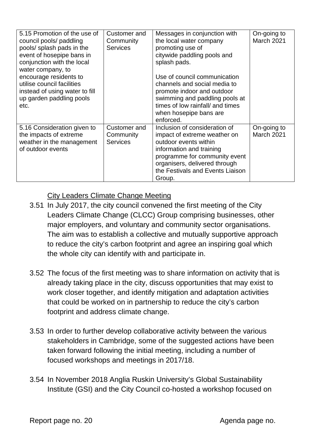| 5.15 Promotion of the use of<br>council pools/ paddling<br>pools/ splash pads in the<br>event of hosepipe bans in<br>conjunction with the local<br>water company, to<br>encourage residents to<br>utilise council facilities<br>instead of using water to fill<br>up garden paddling pools<br>etc. | Customer and<br>Community<br><b>Services</b> | Messages in conjunction with<br>the local water company<br>promoting use of<br>citywide paddling pools and<br>splash pads.<br>Use of council communication<br>channels and social media to<br>promote indoor and outdoor<br>swimming and paddling pools at<br>times of low rainfall/ and times<br>when hosepipe bans are<br>enforced. | On-going to<br><b>March 2021</b> |
|----------------------------------------------------------------------------------------------------------------------------------------------------------------------------------------------------------------------------------------------------------------------------------------------------|----------------------------------------------|---------------------------------------------------------------------------------------------------------------------------------------------------------------------------------------------------------------------------------------------------------------------------------------------------------------------------------------|----------------------------------|
| 5.16 Consideration given to<br>the impacts of extreme<br>weather in the management<br>of outdoor events                                                                                                                                                                                            | Customer and<br>Community<br><b>Services</b> | Inclusion of consideration of<br>impact of extreme weather on<br>outdoor events within<br>information and training<br>programme for community event<br>organisers, delivered through<br>the Festivals and Events Liaison<br>Group.                                                                                                    | On-going to<br><b>March 2021</b> |

#### City Leaders Climate Change Meeting

- 3.51 In July 2017, the city council convened the first meeting of the City Leaders Climate Change (CLCC) Group comprising businesses, other major employers, and voluntary and community sector organisations. The aim was to establish a collective and mutually supportive approach to reduce the city's carbon footprint and agree an inspiring goal which the whole city can identify with and participate in.
- 3.52 The focus of the first meeting was to share information on activity that is already taking place in the city, discuss opportunities that may exist to work closer together, and identify mitigation and adaptation activities that could be worked on in partnership to reduce the city's carbon footprint and address climate change.
- 3.53 In order to further develop collaborative activity between the various stakeholders in Cambridge, some of the suggested actions have been taken forward following the initial meeting, including a number of focused workshops and meetings in 2017/18.
- 3.54 In November 2018 Anglia Ruskin University's Global Sustainability Institute (GSI) and the City Council co-hosted a workshop focused on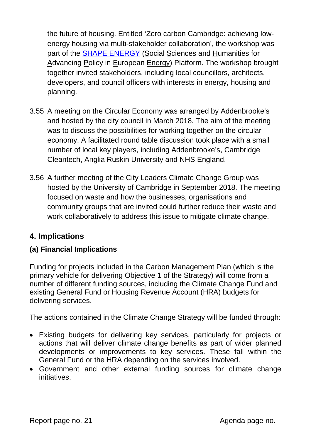the future of housing. Entitled 'Zero carbon Cambridge: achieving lowenergy housing via multi-stakeholder collaboration', the workshop was part of the [SHAPE ENERGY](http://www.shapeenergy.eu/) (Social Sciences and Humanities for Advancing Policy in European Energy) Platform. The workshop brought together invited stakeholders, including local councillors, architects, developers, and council officers with interests in energy, housing and planning.

- 3.55 A meeting on the Circular Economy was arranged by Addenbrooke's and hosted by the city council in March 2018. The aim of the meeting was to discuss the possibilities for working together on the circular economy. A facilitated round table discussion took place with a small number of local key players, including Addenbrooke's, Cambridge Cleantech, Anglia Ruskin University and NHS England.
- 3.56 A further meeting of the City Leaders Climate Change Group was hosted by the University of Cambridge in September 2018. The meeting focused on waste and how the businesses, organisations and community groups that are invited could further reduce their waste and work collaboratively to address this issue to mitigate climate change.

# **4. Implications**

### **(a) Financial Implications**

Funding for projects included in the Carbon Management Plan (which is the primary vehicle for delivering Objective 1 of the Strategy) will come from a number of different funding sources, including the Climate Change Fund and existing General Fund or Housing Revenue Account (HRA) budgets for delivering services.

The actions contained in the Climate Change Strategy will be funded through:

- Existing budgets for delivering key services, particularly for projects or actions that will deliver climate change benefits as part of wider planned developments or improvements to key services. These fall within the General Fund or the HRA depending on the services involved.
- Government and other external funding sources for climate change initiatives.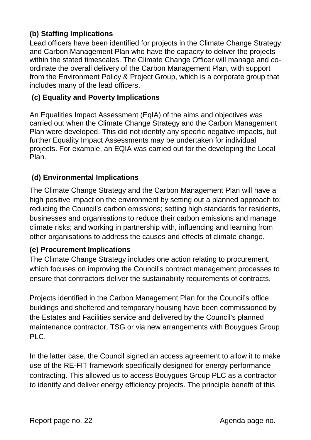# **(b) Staffing Implications**

Lead officers have been identified for projects in the Climate Change Strategy and Carbon Management Plan who have the capacity to deliver the projects within the stated timescales. The Climate Change Officer will manage and coordinate the overall delivery of the Carbon Management Plan, with support from the Environment Policy & Project Group, which is a corporate group that includes many of the lead officers.

## **(c) Equality and Poverty Implications**

An Equalities Impact Assessment (EqIA) of the aims and objectives was carried out when the Climate Change Strategy and the Carbon Management Plan were developed. This did not identify any specific negative impacts, but further Equality Impact Assessments may be undertaken for individual projects. For example, an EQIA was carried out for the developing the Local Plan.

### **(d) Environmental Implications**

The Climate Change Strategy and the Carbon Management Plan will have a high positive impact on the environment by setting out a planned approach to: reducing the Council's carbon emissions; setting high standards for residents, businesses and organisations to reduce their carbon emissions and manage climate risks; and working in partnership with, influencing and learning from other organisations to address the causes and effects of climate change.

### **(e) Procurement Implications**

The Climate Change Strategy includes one action relating to procurement, which focuses on improving the Council's contract management processes to ensure that contractors deliver the sustainability requirements of contracts.

Projects identified in the Carbon Management Plan for the Council's office buildings and sheltered and temporary housing have been commissioned by the Estates and Facilities service and delivered by the Council's planned maintenance contractor, TSG or via new arrangements with Bouygues Group PLC.

In the latter case, the Council signed an access agreement to allow it to make use of the RE-FIT framework specifically designed for energy performance contracting. This allowed us to access Bouygues Group PLC as a contractor to identify and deliver energy efficiency projects. The principle benefit of this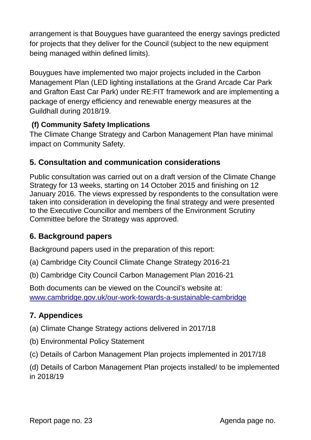arrangement is that Bouygues have guaranteed the energy savings predicted for projects that they deliver for the Council (subject to the new equipment being managed within defined limits).

Bouygues have implemented two major projects included in the Carbon Management Plan (LED lighting installations at the Grand Arcade Car Park and Grafton East Car Park) under RE:FIT framework and are implementing a package of energy efficiency and renewable energy measures at the Guildhall during 2018/19.

# **(f) Community Safety Implications**

The Climate Change Strategy and Carbon Management Plan have minimal impact on Community Safety.

# **5. Consultation and communication considerations**

Public consultation was carried out on a draft version of the Climate Change Strategy for 13 weeks, starting on 14 October 2015 and finishing on 12 January 2016. The views expressed by respondents to the consultation were taken into consideration in developing the final strategy and were presented to the Executive Councillor and members of the Environment Scrutiny Committee before the Strategy was approved.

# **6. Background papers**

Background papers used in the preparation of this report:

(a) Cambridge City Council Climate Change Strategy 2016-21

(b) Cambridge City Council Carbon Management Plan 2016-21

Both documents can be viewed on the Council's website at: [www.cambridge.gov.uk/our-work-towards-a-sustainable-cambridge](http://www.cambridge.gov.uk/our-work-towards-a-sustainable-cambridge)

# **7. Appendices**

(a) Climate Change Strategy actions delivered in 2017/18

- (b) Environmental Policy Statement
- (c) Details of Carbon Management Plan projects implemented in 2017/18

(d) Details of Carbon Management Plan projects installed/ to be implemented in 2018/19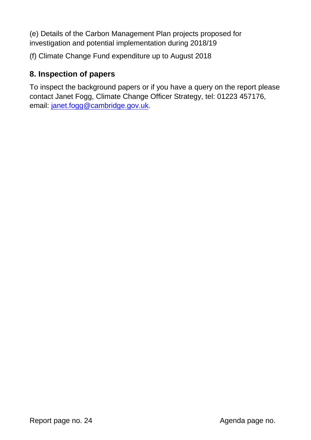(e) Details of the Carbon Management Plan projects proposed for investigation and potential implementation during 2018/19

(f) Climate Change Fund expenditure up to August 2018

# **8. Inspection of papers**

To inspect the background papers or if you have a query on the report please contact Janet Fogg, Climate Change Officer Strategy, tel: 01223 457176, email: [janet.fogg@cambridge.gov.uk.](mailto:janet.fogg@cambridge.gov.uk)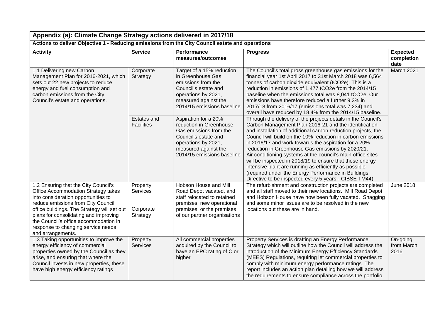|                                                                                                                                                                                                                                                |                                  |                                                                                                                                                                                |                                                                                                                                                                                                                                                                                                                                                                                                                                                                                                                                                                                                                                                                           | Appendix (a): Climate Change Strategy actions delivered in 2017/18 |  |  |  |
|------------------------------------------------------------------------------------------------------------------------------------------------------------------------------------------------------------------------------------------------|----------------------------------|--------------------------------------------------------------------------------------------------------------------------------------------------------------------------------|---------------------------------------------------------------------------------------------------------------------------------------------------------------------------------------------------------------------------------------------------------------------------------------------------------------------------------------------------------------------------------------------------------------------------------------------------------------------------------------------------------------------------------------------------------------------------------------------------------------------------------------------------------------------------|--------------------------------------------------------------------|--|--|--|
| Actions to deliver Objective 1 - Reducing emissions from the City Council estate and operations                                                                                                                                                |                                  |                                                                                                                                                                                |                                                                                                                                                                                                                                                                                                                                                                                                                                                                                                                                                                                                                                                                           |                                                                    |  |  |  |
| <b>Activity</b>                                                                                                                                                                                                                                | <b>Service</b>                   | Performance<br>measures/outcomes                                                                                                                                               | <b>Progress</b>                                                                                                                                                                                                                                                                                                                                                                                                                                                                                                                                                                                                                                                           | <b>Expected</b><br>completion<br>date                              |  |  |  |
| 1.1 Delivering new Carbon<br>Management Plan for 2016-2021, which<br>sets out 22 new projects to reduce<br>energy and fuel consumption and<br>carbon emissions from the City<br>Council's estate and operations.                               | Corporate<br>Strategy            | Target of a 15% reduction<br>in Greenhouse Gas<br>emissions from the<br>Council's estate and<br>operations by 2021,<br>measured against the<br>2014/15 emissions baseline      | The Council's total gross greenhouse gas emissions for the<br>financial year 1st April 2017 to 31st March 2018 was 6,564<br>tonnes of carbon dioxide equivalent (tCO2e). This is a<br>reduction in emissions of 1,477 tCO2e from the 2014/15<br>baseline when the emissions total was 8,041 tCO2e. Our<br>emissions have therefore reduced a further 9.3% in<br>2017/18 from 2016/17 (emissions total was 7,234) and<br>overall have reduced by 18.4% from the 2014/15 baseline.                                                                                                                                                                                          | March 2021                                                         |  |  |  |
|                                                                                                                                                                                                                                                | Estates and<br><b>Facilities</b> | Aspiration for a 20%<br>reduction in Greenhouse<br>Gas emissions from the<br>Council's estate and<br>operations by 2021,<br>measured against the<br>2014/15 emissions baseline | Through the delivery of the projects details in the Council's<br>Carbon Management Plan 2016-21 and the identification<br>and installation of additional carbon reduction projects, the<br>Council will build on the 10% reduction in carbon emissions<br>in 2016/17 and work towards the aspiration for a 20%<br>reduction in Greenhouse Gas emissions by 2020/21.<br>Air conditioning systems at the council's main office sites<br>will be inspected in 2018/19 to ensure that these energy<br>intensive plant are running as efficiently as possible<br>(required under the Energy Performance in Buildings<br>Directive to be inspected every 5 years - CIBSE TM44). |                                                                    |  |  |  |
| 1.2 Ensuring that the City Council's<br>Office Accommodation Strategy takes<br>into consideration opportunities to<br>reduce emissions from City Council                                                                                       | Property<br>Services             | Hobson House and Mill<br>Road Depot vacated, and<br>staff relocated to retained<br>premises, new operational                                                                   | The refurbishment and construction projects are completed<br>and all staff moved to their new locations. Mill Road Depot<br>and Hobson House have now been fully vacated. Snagging<br>and some minor issues are to be resolved in the new                                                                                                                                                                                                                                                                                                                                                                                                                                 | <b>June 2018</b>                                                   |  |  |  |
| office buildings. The Strategy will set out<br>plans for consolidating and improving<br>the Council's office accommodation in<br>response to changing service needs<br>and arrangements.                                                       | Corporate<br>Strategy            | premises, or the premises<br>of our partner organisations                                                                                                                      | locations but these are in hand.                                                                                                                                                                                                                                                                                                                                                                                                                                                                                                                                                                                                                                          |                                                                    |  |  |  |
| 1.3 Taking opportunities to improve the<br>energy efficiency of commercial<br>properties owned by the Council as they<br>arise, and ensuring that where the<br>Council invests in new properties, these<br>have high energy efficiency ratings | Property<br><b>Services</b>      | All commercial properties<br>acquired by the Council to<br>have an EPC rating of C or<br>higher                                                                                | Property Services is drafting an Energy Performance<br>Strategy which will outline how the Council will address the<br>introduction of the Minimum Energy Efficiency Standards<br>(MEES) Regulations, requiring let commercial properties to<br>comply with minimum energy performance ratings. The<br>report includes an action plan detailing how we will address<br>the requirements to ensure compliance across the portfolio.                                                                                                                                                                                                                                        | On-going<br>from March<br>2016                                     |  |  |  |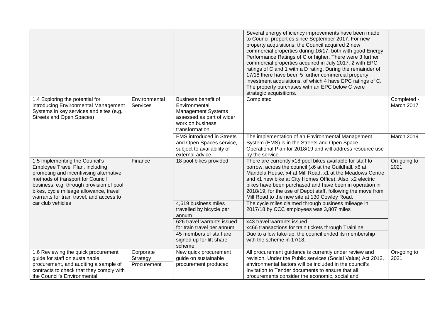|                                                                                                                                                                                                                                                                                    |                                      |                                                                                                                                      | Several energy efficiency improvements have been made<br>to Council properties since September 2017. For new<br>property acquisitions, the Council acquired 2 new<br>commercial properties during 16/17, both with good Energy<br>Performance Ratings of C or higher. There were 3 further<br>commercial properties acquired in July 2017, 2 with EPC<br>ratings of C and 1 with a D rating. During the remainder of<br>17/18 there have been 5 further commercial property<br>investment acquisitions, of which 4 have EPC ratings of C.<br>The property purchases with an EPC below C were<br>strategic acquisitions. |                           |
|------------------------------------------------------------------------------------------------------------------------------------------------------------------------------------------------------------------------------------------------------------------------------------|--------------------------------------|--------------------------------------------------------------------------------------------------------------------------------------|-------------------------------------------------------------------------------------------------------------------------------------------------------------------------------------------------------------------------------------------------------------------------------------------------------------------------------------------------------------------------------------------------------------------------------------------------------------------------------------------------------------------------------------------------------------------------------------------------------------------------|---------------------------|
| 1.4 Exploring the potential for<br>introducing Environmental Management<br>Systems in key services and sites (e.g.<br><b>Streets and Open Spaces)</b>                                                                                                                              | Environmental<br>Services            | Business benefit of<br>Environmental<br><b>Management Systems</b><br>assessed as part of wider<br>work on business<br>transformation | Completed                                                                                                                                                                                                                                                                                                                                                                                                                                                                                                                                                                                                               | Completed -<br>March 2017 |
|                                                                                                                                                                                                                                                                                    |                                      | <b>EMS introduced in Streets</b><br>and Open Spaces service,<br>subject to availability of<br>external advice                        | The implementation of an Environmental Management<br>System (EMS) is in the Streets and Open Space<br>Operational Plan for 2018/19 and will address resource use<br>by the service.                                                                                                                                                                                                                                                                                                                                                                                                                                     | March 2019                |
| 1.5 Implementing the Council's<br>Employee Travel Plan, including<br>promoting and incentivising alternative<br>methods of transport for Council<br>business, e.g. through provision of pool<br>bikes, cycle mileage allowance, travel<br>warrants for train travel, and access to | Finance                              | 18 pool bikes provided                                                                                                               | There are currently x18 pool bikes available for staff to<br>borrow, across the council (x6 at the Guildhall, x6 at<br>Mandela House, x4 at Mill Road, x1 at the Meadows Centre<br>and x1 new bike at City Homes Office). Also, x2 electric<br>bikes have been purchased and have been in operation in<br>2018/19, for the use of Depot staff, following the move from<br>Mill Road to the new site at 130 Cowley Road.                                                                                                                                                                                                 | On-going to<br>2021       |
| car club vehicles                                                                                                                                                                                                                                                                  |                                      | 4,619 business miles<br>travelled by bicycle per<br>annum                                                                            | The cycle miles claimed through business mileage in<br>2017/18 by CCC employees was 3,807 miles                                                                                                                                                                                                                                                                                                                                                                                                                                                                                                                         |                           |
|                                                                                                                                                                                                                                                                                    |                                      | 626 travel warrants issued<br>for train travel per annum                                                                             | x43 travel warrants issued<br>x466 transactions for train tickets through Trainline                                                                                                                                                                                                                                                                                                                                                                                                                                                                                                                                     |                           |
|                                                                                                                                                                                                                                                                                    |                                      | 45 members of staff are<br>signed up for lift share<br>scheme                                                                        | Due to a low take-up, the council ended its membership<br>with the scheme in 17/18.                                                                                                                                                                                                                                                                                                                                                                                                                                                                                                                                     |                           |
| 1.6 Reviewing the quick procurement<br>guide for staff on sustainable<br>procurement, and auditing a sample of<br>contracts to check that they comply with<br>the Council's Environmental                                                                                          | Corporate<br>Strategy<br>Procurement | New quick procurement<br>guide on sustainable<br>procurement produced                                                                | All procurement guidance is currently under review and<br>revision. Under the Public services (Social Value) Act 2012,<br>environmental factors will be included in the council's<br>Invitation to Tender documents to ensure that all<br>procurements consider the economic, social and                                                                                                                                                                                                                                                                                                                                | On-going to<br>2021       |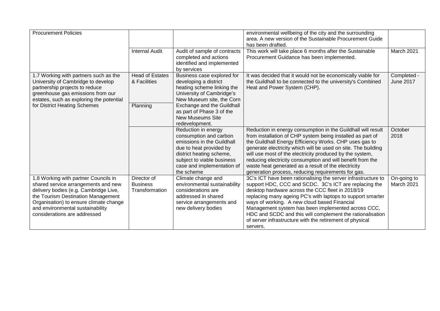| <b>Procurement Policies</b>                                                                                                                                                                                                                                              |                                                    |                                                                                                                                                                                                                                                     | environmental wellbeing of the city and the surrounding<br>area. A new version of the Sustainable Procurement Guide<br>has been drafted.                                                                                                                                                                                                                                                                                                                                                     |                                 |
|--------------------------------------------------------------------------------------------------------------------------------------------------------------------------------------------------------------------------------------------------------------------------|----------------------------------------------------|-----------------------------------------------------------------------------------------------------------------------------------------------------------------------------------------------------------------------------------------------------|----------------------------------------------------------------------------------------------------------------------------------------------------------------------------------------------------------------------------------------------------------------------------------------------------------------------------------------------------------------------------------------------------------------------------------------------------------------------------------------------|---------------------------------|
|                                                                                                                                                                                                                                                                          | <b>Internal Audit</b>                              | Audit of sample of contracts<br>completed and actions<br>identified and implemented<br>by services                                                                                                                                                  | This work will take place 6 months after the Sustainable<br>Procurement Guidance has been implemented.                                                                                                                                                                                                                                                                                                                                                                                       | March 2021                      |
| 1.7 Working with partners such as the<br>University of Cambridge to develop<br>partnership projects to reduce<br>greenhouse gas emissions from our<br>estates, such as exploring the potential<br>for District Heating Schemes                                           | <b>Head of Estates</b><br>& Facilities<br>Planning | Business case explored for<br>developing a district<br>heating scheme linking the<br>University of Cambridge's<br>New Museum site, the Corn<br>Exchange and the Guildhall<br>as part of Phase 3 of the<br><b>New Museums Site</b><br>redevelopment. | It was decided that it would not be economically viable for<br>the Guildhall to be connected to the university's Combined<br>Heat and Power System (CHP).                                                                                                                                                                                                                                                                                                                                    | Completed -<br><b>June 2017</b> |
|                                                                                                                                                                                                                                                                          |                                                    | Reduction in energy<br>consumption and carbon<br>emissions in the Guildhall<br>due to heat provided by<br>district heating scheme,<br>subject to viable business<br>case and implementation of<br>the scheme                                        | Reduction in energy consumption in the Guildhall will result<br>from installation of CHP system being installed as part of<br>the Guildhall Energy Efficiency Works. CHP uses gas to<br>generate electricity which will be used on site. The building<br>will use most of the electricity produced by the system,<br>reducing electricity consumption and will benefit from the<br>waste heat generated as a result of the electricity<br>generation process, reducing requirements for gas. | October<br>2018                 |
| 1.8 Working with partner Councils in<br>shared service arrangements and new<br>delivery bodies (e.g. Cambridge Live,<br>the Tourism Destination Management<br>Organisation) to ensure climate change<br>and environmental sustainability<br>considerations are addressed | Director of<br><b>Business</b><br>Transformation   | Climate change and<br>environmental sustainability<br>considerations are<br>addressed in shared<br>service arrangements and<br>new delivery bodies                                                                                                  | 3C's ICT have been rationalising the server infrastructure to<br>support HDC, CCC and SCDC. 3C's ICT are replacing the<br>desktop hardware across the CCC fleet in 2018/19<br>replacing many ageing PC's with laptops to support smarter<br>ways of working. A new cloud based Financial<br>Management system has been implemented across CCC,<br>HDC and SCDC and this will complement the rationalisation<br>of server infrastructure with the retirement of physical<br>servers.          | On-going to<br>March 2021       |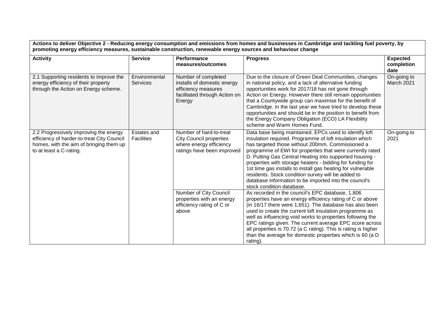| <b>Activity</b>                                                                                                                                            | <b>Service</b>                                                                                                                                  | Performance<br>measures/outcomes                                                                                                                                                                                                                                                                                                                                                                                                                                                                                                                                       | <b>Progress</b>                                                                                                                                                                                                                                                                                                                                                                                                                                                                                                  | <b>Expected</b><br>completion<br>date |
|------------------------------------------------------------------------------------------------------------------------------------------------------------|-------------------------------------------------------------------------------------------------------------------------------------------------|------------------------------------------------------------------------------------------------------------------------------------------------------------------------------------------------------------------------------------------------------------------------------------------------------------------------------------------------------------------------------------------------------------------------------------------------------------------------------------------------------------------------------------------------------------------------|------------------------------------------------------------------------------------------------------------------------------------------------------------------------------------------------------------------------------------------------------------------------------------------------------------------------------------------------------------------------------------------------------------------------------------------------------------------------------------------------------------------|---------------------------------------|
| 2.1 Supporting residents to improve the<br>energy efficiency of their property<br>through the Action on Energy scheme.                                     | Environmental<br><b>Services</b>                                                                                                                | Number of completed<br>installs of domestic energy<br>efficiency measures<br>facilitated through Action on<br>Energy                                                                                                                                                                                                                                                                                                                                                                                                                                                   | Due to the closure of Green Deal Communities, changes<br>in national policy, and a lack of alternative funding<br>opportunities work for 2017/18 has not gone through<br>Action on Energy. However there still remain opportunities<br>that a Countywide group can maximise for the benefit of<br>Cambridge. In the last year we have tried to develop these<br>opportunities and should be in the position to benefit from<br>the Energy Company Obligation (ECO) LA Flexibility<br>scheme and Warm Homes Fund. | On-going to<br>March 2021             |
| 2.2 Progressively improving the energy<br>efficiency of harder-to-treat City Council<br>homes, with the aim of bringing them up<br>to at least a C-rating. | Number of hard-to-treat<br>Estates and<br><b>City Council properties</b><br>Facilities<br>where energy efficiency<br>ratings have been improved | Data base being maintained. EPCs used to identify loft<br>insulation required. Programme of loft insulation which<br>has targeted those without 200mm. Commissioned a<br>programme of EWI for properties that were currently rated<br>D. Putting Gas Central Heating into supported housing -<br>properties with storage heaters - bidding for funding for<br>1st time gas installs to install gas heating for vulnerable<br>residents. Stock condition survey will be added to<br>database information to be imported into the council's<br>stock condition database. | On-going to<br>2021                                                                                                                                                                                                                                                                                                                                                                                                                                                                                              |                                       |
|                                                                                                                                                            |                                                                                                                                                 | Number of City Council<br>properties with an energy<br>efficiency rating of C or<br>above                                                                                                                                                                                                                                                                                                                                                                                                                                                                              | As recorded in the council's EPC database, 1,806<br>properties have an energy efficiency rating of C or above<br>(in 16/17 there were 1,651). The database has also been<br>used to create the current loft insulation programme as<br>well as influencing void works to properties following the<br>EPC ratings given. The current average EPC score across<br>all properties is 70.72 (a C rating). This is rating is higher<br>than the average for domestic properties which is 60 (a D<br>rating).          |                                       |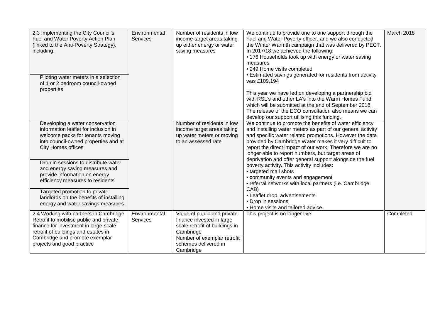| 2.3 Implementing the City Council's<br>Fuel and Water Poverty Action Plan<br>(linked to the Anti-Poverty Strategy),<br>including:<br>Piloting water meters in a selection<br>of 1 or 2 bedroom council-owned<br>properties         | Environmental<br><b>Services</b> | Number of residents in low<br>income target areas taking<br>up either energy or water<br>saving measures                                                                    | We continue to provide one to one support through the<br>Fuel and Water Poverty officer, and we also conducted<br>the Winter Warmth campaign that was delivered by PECT.<br>In 2017/18 we achieved the following:<br>• 176 Households took up with energy or water saving<br>measures<br>• 249 Home visits completed<br>• Estimated savings generated for residents from activity<br>was £109,194<br>This year we have led on developing a partnership bid<br>with RSL's and other LA's into the Warm Homes Fund<br>which will be submitted at the end of September 2018.<br>The release of the ECO consultation also means we can<br>develop our support utilising this funding. | March 2018 |
|------------------------------------------------------------------------------------------------------------------------------------------------------------------------------------------------------------------------------------|----------------------------------|-----------------------------------------------------------------------------------------------------------------------------------------------------------------------------|-----------------------------------------------------------------------------------------------------------------------------------------------------------------------------------------------------------------------------------------------------------------------------------------------------------------------------------------------------------------------------------------------------------------------------------------------------------------------------------------------------------------------------------------------------------------------------------------------------------------------------------------------------------------------------------|------------|
| Developing a water conservation<br>information leaflet for inclusion in<br>welcome packs for tenants moving<br>into council-owned properties and at<br><b>City Homes offices</b>                                                   |                                  | Number of residents in low<br>income target areas taking<br>up water meters or moving<br>to an assessed rate                                                                | We continue to promote the benefits of water efficiency<br>and installing water meters as part of our general activity<br>and specific water related promotions. However the data<br>provided by Cambridge Water makes it very difficult to<br>report the direct impact of our work. Therefore we are no<br>longer able to report numbers, but target areas of                                                                                                                                                                                                                                                                                                                    |            |
| Drop in sessions to distribute water<br>and energy saving measures and<br>provide information on energy<br>efficiency measures to residents                                                                                        |                                  |                                                                                                                                                                             | deprivation and offer general support alongside the fuel<br>poverty activity. This activity includes:<br>• targeted mail shots<br>• community events and engagement<br>• referral networks with local partners (i.e. Cambridge                                                                                                                                                                                                                                                                                                                                                                                                                                                    |            |
| Targeted promotion to private<br>landlords on the benefits of installing<br>energy and water savings measures.                                                                                                                     |                                  |                                                                                                                                                                             | CAB)<br>• Leaflet drop, advertisements<br>• Drop in sessions<br>• Home visits and tailored advice.                                                                                                                                                                                                                                                                                                                                                                                                                                                                                                                                                                                |            |
| 2.4 Working with partners in Cambridge<br>Retrofit to mobilise public and private<br>finance for investment in large-scale<br>retrofit of buildings and estates in<br>Cambridge and promote exemplar<br>projects and good practice | Environmental<br><b>Services</b> | Value of public and private<br>finance invested in large<br>scale retrofit of buildings in<br>Cambridge<br>Number of exemplar retrofit<br>schemes delivered in<br>Cambridge | This project is no longer live.                                                                                                                                                                                                                                                                                                                                                                                                                                                                                                                                                                                                                                                   | Completed  |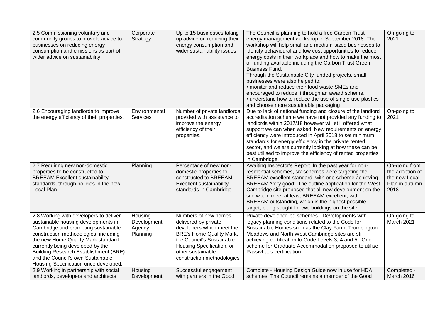| 2.5 Commissioning voluntary and<br>community groups to provide advice to<br>businesses on reducing energy<br>consumption and emissions as part of<br>wider advice on sustainability                                                                                                                                                                                   | Corporate<br>Strategy                         | Up to 15 businesses taking<br>up advice on reducing their<br>energy consumption and<br>wider sustainability issues                                                                                                        | The Council is planning to hold a free Carbon Trust<br>energy management workshop in September 2018. The<br>workshop will help small and medium-sized businesses to<br>identify behavioural and low cost opportunities to reduce<br>energy costs in their workplace and how to make the most<br>of funding available including the Carbon Trust Green<br><b>Business Fund.</b><br>Through the Sustainable City funded projects, small<br>businesses were also helped to:<br>• monitor and reduce their food waste SMEs and<br>encouraged to reduce it through an award scheme.<br>• understand how to reduce the use of single-use plastics<br>and choose more sustainable packaging | On-going to<br>2021                                                         |
|-----------------------------------------------------------------------------------------------------------------------------------------------------------------------------------------------------------------------------------------------------------------------------------------------------------------------------------------------------------------------|-----------------------------------------------|---------------------------------------------------------------------------------------------------------------------------------------------------------------------------------------------------------------------------|--------------------------------------------------------------------------------------------------------------------------------------------------------------------------------------------------------------------------------------------------------------------------------------------------------------------------------------------------------------------------------------------------------------------------------------------------------------------------------------------------------------------------------------------------------------------------------------------------------------------------------------------------------------------------------------|-----------------------------------------------------------------------------|
| 2.6 Encouraging landlords to improve<br>the energy efficiency of their properties.                                                                                                                                                                                                                                                                                    | Environmental<br>Services                     | Number of private landlords<br>provided with assistance to<br>improve the energy<br>efficiency of their<br>properties.                                                                                                    | Due to lack of national funding and closure of the landlord<br>accreditation scheme we have not provided any funding to<br>landlords within 2017/18 however will still offered what<br>support we can when asked. New requirements on energy<br>efficiency were introduced in April 2018 to set minimum<br>standards for energy efficiency in the private rented<br>sector, and we are currently looking at how these can be<br>best utilised to improve the efficiency of rented properties<br>in Cambridge.                                                                                                                                                                        | On-going to<br>2021                                                         |
| 2.7 Requiring new non-domestic<br>properties to be constructed to<br><b>BREEAM Excellent sustainability</b><br>standards, through policies in the new<br>Local Plan                                                                                                                                                                                                   | Planning                                      | Percentage of new non-<br>domestic properties to<br>constructed to BREEAM<br>Excellent sustainability<br>standards in Cambridge                                                                                           | Awaiting Inspector's Report. In the past year for non-<br>residential schemes, six schemes were targeting the<br>BREEAM excellent standard, with one scheme achieving<br>BREEAM 'very good'. The outline application for the West<br>Cambridge site proposed that all new development on the<br>site would meet at least BREEAM excellent, with<br>BREEAM outstanding, which is the highest possible<br>target, being sought for two buildings on the site.                                                                                                                                                                                                                          | On-going from<br>the adoption of<br>the new Local<br>Plan in autumn<br>2018 |
| 2.8 Working with developers to deliver<br>sustainable housing developments in<br>Cambridge and promoting sustainable<br>construction methodologies, including<br>the new Home Quality Mark standard<br>currently being developed by the<br><b>Building Research Establishment (BRE)</b><br>and the Council's own Sustainable<br>Housing Specification once developed. | Housing<br>Development<br>Agency,<br>Planning | Numbers of new homes<br>delivered by private<br>developers which meet the<br><b>BRE's Home Quality Mark,</b><br>the Council's Sustainable<br>Housing Specification, or<br>other sustainable<br>construction methodologies | Private developer led schemes - Developments with<br>legacy planning conditions related to the Code for<br>Sustainable Homes such as the Clay Farm, Trumpington<br>Meadows and North West Cambridge sites are still<br>achieving certification to Code Levels 3, 4 and 5. One<br>scheme for Graduate Accommodation proposed to utilise<br>Passivhaus certification.                                                                                                                                                                                                                                                                                                                  | On-going to<br>March 2021                                                   |
| 2.9 Working in partnership with social<br>landlords, developers and architects                                                                                                                                                                                                                                                                                        | Housing<br>Development                        | Successful engagement<br>with partners in the Good                                                                                                                                                                        | Complete - Housing Design Guide now in use for HDA<br>schemes. The Council remains a member of the Good                                                                                                                                                                                                                                                                                                                                                                                                                                                                                                                                                                              | Completed -<br>March 2016                                                   |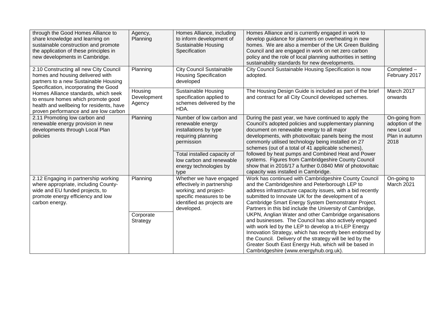| through the Good Homes Alliance to<br>share knowledge and learning on<br>sustainable construction and promote<br>the application of these principles in<br>new developments in Cambridge.                | Agency,<br>Planning               | Homes Alliance, including<br>to inform development of<br><b>Sustainable Housing</b><br>Specification                                                                                                   | Homes Alliance and is currently engaged in work to<br>develop guidance for planners on overheating in new<br>homes. We are also a member of the UK Green Building<br>Council and are engaged in work on net zero carbon<br>policy and the role of local planning authorities in setting<br>sustainability standards for new developments.                                                                                                                                                                                                                                                                                                                                                                                                            |                                                                         |
|----------------------------------------------------------------------------------------------------------------------------------------------------------------------------------------------------------|-----------------------------------|--------------------------------------------------------------------------------------------------------------------------------------------------------------------------------------------------------|------------------------------------------------------------------------------------------------------------------------------------------------------------------------------------------------------------------------------------------------------------------------------------------------------------------------------------------------------------------------------------------------------------------------------------------------------------------------------------------------------------------------------------------------------------------------------------------------------------------------------------------------------------------------------------------------------------------------------------------------------|-------------------------------------------------------------------------|
| 2.10 Constructing all new City Council<br>homes and housing delivered with<br>partners to a new Sustainable Housing                                                                                      | Planning                          | <b>City Council Sustainable</b><br><b>Housing Specification</b><br>developed                                                                                                                           | City Council Sustainable Housing Specification is now<br>adopted.                                                                                                                                                                                                                                                                                                                                                                                                                                                                                                                                                                                                                                                                                    | Completed -<br>February 2017                                            |
| Specification, incorporating the Good<br>Homes Alliance standards, which seek<br>to ensure homes which promote good<br>health and wellbeing for residents, have<br>proven performance and are low carbon | Housing<br>Development<br>Agency  | <b>Sustainable Housing</b><br>specification applied to<br>schemes delivered by the<br>HDA.                                                                                                             | The Housing Design Guide is included as part of the brief<br>and contract for all City Council developed schemes.                                                                                                                                                                                                                                                                                                                                                                                                                                                                                                                                                                                                                                    | March 2017<br>onwards                                                   |
| 2.11 Promoting low carbon and<br>renewable energy provision in new<br>developments through Local Plan<br>policies                                                                                        | Planning                          | Number of low carbon and<br>renewable energy<br>installations by type<br>requiring planning<br>permission<br>Total installed capacity of<br>low carbon and renewable<br>energy technologies by<br>type | During the past year, we have continued to apply the<br>Council's adopted policies and supplementary planning<br>document on renewable energy to all major<br>developments, with photovoltaic panels being the most<br>commonly utilised technology being installed on 27<br>schemes (out of a total of 41 applicable schemes),<br>followed by heat pumps and Combined Heat and Power<br>systems. Figures from Cambridgeshire County Council<br>show that in 2016/17 a further 0.0840 MW of photovoltaic<br>capacity was installed in Cambridge.                                                                                                                                                                                                     | On-going from<br>adoption of the<br>new Local<br>Plan in autumn<br>2018 |
| 2.12 Engaging in partnership working<br>where appropriate, including County-<br>wide and EU funded projects, to<br>promote energy efficiency and low<br>carbon energy.                                   | Planning<br>Corporate<br>Strategy | Whether we have engaged<br>effectively in partnership<br>working; and project-<br>specific measures to be<br>identified as projects are<br>developed.                                                  | Work has continued with Cambridgeshire County Council<br>and the Cambridgeshire and Peterborough LEP to<br>address infrastructure capacity issues, with a bid recently<br>submitted to Innovate UK for the development of a<br>Cambridge Smart Energy System Demonstrator Project.<br>Partners in this bid include the University of Cambridge,<br>UKPN, Anglian Water and other Cambridge organisations<br>and businesses. The Council has also actively engaged<br>with work led by the LEP to develop a tri-LEP Energy<br>Innovation Strategy, which has recently been endorsed by<br>the Council. Delivery of the strategy will be led by the<br>Greater South East Energy Hub, which will be based in<br>Cambridgeshire (www.energyhub.org.uk). | On-going to<br>March 2021                                               |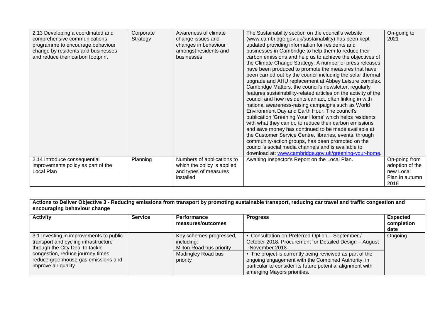| 2.13 Developing a coordinated and  | Corporate | Awareness of climate        | The Sustainability section on the council's website             | On-going to     |
|------------------------------------|-----------|-----------------------------|-----------------------------------------------------------------|-----------------|
| comprehensive communications       | Strategy  | change issues and           | (www.cambridge.gov.uk/sustainability) has been kept             | 2021            |
| programme to encourage behaviour   |           | changes in behaviour        | updated providing information for residents and                 |                 |
| change by residents and businesses |           | amongst residents and       | businesses in Cambridge to help them to reduce their            |                 |
| and reduce their carbon footprint  |           | businesses                  | carbon emissions and help us to achieve the objectives of       |                 |
|                                    |           |                             | the Climate Change Strategy. A number of press releases         |                 |
|                                    |           |                             | have been produced to promote the measures that have            |                 |
|                                    |           |                             | been carried out by the council including the solar thermal     |                 |
|                                    |           |                             | upgrade and AHU replacement at Abbey Leisure complex.           |                 |
|                                    |           |                             | Cambridge Matters, the council's newsletter, regularly          |                 |
|                                    |           |                             | features sustainability-related articles on the activity of the |                 |
|                                    |           |                             | council and how residents can act, often linking in with        |                 |
|                                    |           |                             | national awareness-raising campaigns such as World              |                 |
|                                    |           |                             | Environment Day and Earth Hour. The council's                   |                 |
|                                    |           |                             | publication 'Greening Your Home' which helps residents          |                 |
|                                    |           |                             | with what they can do to reduce their carbon emissions          |                 |
|                                    |           |                             | and save money has continued to be made available at            |                 |
|                                    |           |                             | the Customer Service Centre, libraries, events, through         |                 |
|                                    |           |                             | community-action groups, has been promoted on the               |                 |
|                                    |           |                             | council's social media channels and is available to             |                 |
|                                    |           |                             | download at: www.cambridge.gov.uk/greening-your-home.           |                 |
| 2.14 Introduce consequential       | Planning  | Numbers of applications to  | Awaiting Inspector's Report on the Local Plan.                  | On-going from   |
| improvements policy as part of the |           | which the policy is applied |                                                                 | adoption of the |
| Local Plan                         |           | and types of measures       |                                                                 | new Local       |
|                                    |           | installed                   |                                                                 | Plan in autumn  |
|                                    |           |                             |                                                                 | 2018            |

| Actions to Deliver Objective 3 - Reducing emissions from transport by promoting sustainable transport, reducing car travel and traffic congestion and<br>encouraging behaviour change |                |                                                                   |                                                                                                                                                                                                             |                                       |
|---------------------------------------------------------------------------------------------------------------------------------------------------------------------------------------|----------------|-------------------------------------------------------------------|-------------------------------------------------------------------------------------------------------------------------------------------------------------------------------------------------------------|---------------------------------------|
| <b>Activity</b>                                                                                                                                                                       | <b>Service</b> | <b>Performance</b><br>measures/outcomes                           | <b>Progress</b>                                                                                                                                                                                             | <b>Expected</b><br>completion<br>date |
| 3.1 Investing in improvements to public<br>transport and cycling infrastructure<br>through the City Deal to tackle                                                                    |                | Key schemes progressed,<br>including:<br>Milton Road bus priority | • Consultation on Preferred Option - September /<br>October 2018. Procurement for Detailed Design - August<br>- November 2018                                                                               | Ongoing                               |
| congestion, reduce journey times,<br>reduce greenhouse gas emissions and<br>improve air quality                                                                                       |                | Madingley Road bus<br>priority                                    | • The project is currently being reviewed as part of the<br>ongoing engagement with the Combined Authority, in<br>particular to consider its future potential alignment with<br>emerging Mayors priorities. |                                       |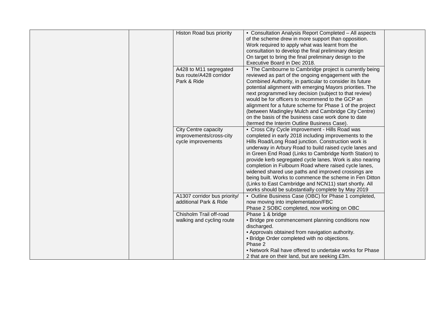| of the scheme drew in more support than opposition.<br>Work required to apply what was learnt from the<br>consultation to develop the final preliminary design<br>On target to bring the final preliminary design to the<br>Executive Board in Dec 2018.<br>A428 to M11 segregated<br>• The Cambourne to Cambridge project is currently being<br>bus route/A428 corridor<br>reviewed as part of the ongoing engagement with the<br>Park & Ride<br>Combined Authority, in particular to consider its future<br>potential alignment with emerging Mayors priorities. The<br>next programmed key decision (subject to that review)<br>would be for officers to recommend to the GCP an<br>alignment for a future scheme for Phase 1 of the project<br>(between Madingley Mulch and Cambridge City Centre)<br>on the basis of the business case work done to date<br>(termed the Interim Outline Business Case).<br>City Centre capacity<br>• Cross City Cycle improvement - Hills Road was<br>improvements/cross-city<br>completed in early 2018 including improvements to the<br>cycle improvements<br>Hills Road/Long Road junction. Construction work is<br>underway in Arbury Road to build raised cycle lanes and<br>in Green End Road (Links to Cambridge North Station) to<br>provide kerb segregated cycle lanes. Work is also nearing<br>completion in Fulbourn Road where raised cycle lanes,<br>widened shared use paths and improved crossings are<br>being built. Works to commence the scheme in Fen Ditton<br>(Links to East Cambridge and NCN11) start shortly. All<br>works should be substantially complete by May 2019<br>A1307 corridor bus priority/<br>• Outline Business Case (OBC) for Phase 1 completed,<br>additional Park & Ride<br>now moving into implementation/FBC<br>Phase 2 SOBC completed, now working on OBC<br>Chisholm Trail off-road<br>Phase 1 & bridge<br>walking and cycling route<br>• Bridge pre commencement planning conditions now<br>discharged.<br>• Approvals obtained from navigation authority.<br>• Bridge Order completed with no objections.<br>Phase 2<br>• Network Rail have offered to undertake works for Phase<br>2 that are on their land, but are seeking £3m. |                          |                                                        |  |
|--------------------------------------------------------------------------------------------------------------------------------------------------------------------------------------------------------------------------------------------------------------------------------------------------------------------------------------------------------------------------------------------------------------------------------------------------------------------------------------------------------------------------------------------------------------------------------------------------------------------------------------------------------------------------------------------------------------------------------------------------------------------------------------------------------------------------------------------------------------------------------------------------------------------------------------------------------------------------------------------------------------------------------------------------------------------------------------------------------------------------------------------------------------------------------------------------------------------------------------------------------------------------------------------------------------------------------------------------------------------------------------------------------------------------------------------------------------------------------------------------------------------------------------------------------------------------------------------------------------------------------------------------------------------------------------------------------------------------------------------------------------------------------------------------------------------------------------------------------------------------------------------------------------------------------------------------------------------------------------------------------------------------------------------------------------------------------------------------------------------------------------------------------------------------------------------------------------------------|--------------------------|--------------------------------------------------------|--|
|                                                                                                                                                                                                                                                                                                                                                                                                                                                                                                                                                                                                                                                                                                                                                                                                                                                                                                                                                                                                                                                                                                                                                                                                                                                                                                                                                                                                                                                                                                                                                                                                                                                                                                                                                                                                                                                                                                                                                                                                                                                                                                                                                                                                                          | Histon Road bus priority | • Consultation Analysis Report Completed - All aspects |  |
|                                                                                                                                                                                                                                                                                                                                                                                                                                                                                                                                                                                                                                                                                                                                                                                                                                                                                                                                                                                                                                                                                                                                                                                                                                                                                                                                                                                                                                                                                                                                                                                                                                                                                                                                                                                                                                                                                                                                                                                                                                                                                                                                                                                                                          |                          |                                                        |  |
|                                                                                                                                                                                                                                                                                                                                                                                                                                                                                                                                                                                                                                                                                                                                                                                                                                                                                                                                                                                                                                                                                                                                                                                                                                                                                                                                                                                                                                                                                                                                                                                                                                                                                                                                                                                                                                                                                                                                                                                                                                                                                                                                                                                                                          |                          |                                                        |  |
|                                                                                                                                                                                                                                                                                                                                                                                                                                                                                                                                                                                                                                                                                                                                                                                                                                                                                                                                                                                                                                                                                                                                                                                                                                                                                                                                                                                                                                                                                                                                                                                                                                                                                                                                                                                                                                                                                                                                                                                                                                                                                                                                                                                                                          |                          |                                                        |  |
|                                                                                                                                                                                                                                                                                                                                                                                                                                                                                                                                                                                                                                                                                                                                                                                                                                                                                                                                                                                                                                                                                                                                                                                                                                                                                                                                                                                                                                                                                                                                                                                                                                                                                                                                                                                                                                                                                                                                                                                                                                                                                                                                                                                                                          |                          |                                                        |  |
|                                                                                                                                                                                                                                                                                                                                                                                                                                                                                                                                                                                                                                                                                                                                                                                                                                                                                                                                                                                                                                                                                                                                                                                                                                                                                                                                                                                                                                                                                                                                                                                                                                                                                                                                                                                                                                                                                                                                                                                                                                                                                                                                                                                                                          |                          |                                                        |  |
|                                                                                                                                                                                                                                                                                                                                                                                                                                                                                                                                                                                                                                                                                                                                                                                                                                                                                                                                                                                                                                                                                                                                                                                                                                                                                                                                                                                                                                                                                                                                                                                                                                                                                                                                                                                                                                                                                                                                                                                                                                                                                                                                                                                                                          |                          |                                                        |  |
|                                                                                                                                                                                                                                                                                                                                                                                                                                                                                                                                                                                                                                                                                                                                                                                                                                                                                                                                                                                                                                                                                                                                                                                                                                                                                                                                                                                                                                                                                                                                                                                                                                                                                                                                                                                                                                                                                                                                                                                                                                                                                                                                                                                                                          |                          |                                                        |  |
|                                                                                                                                                                                                                                                                                                                                                                                                                                                                                                                                                                                                                                                                                                                                                                                                                                                                                                                                                                                                                                                                                                                                                                                                                                                                                                                                                                                                                                                                                                                                                                                                                                                                                                                                                                                                                                                                                                                                                                                                                                                                                                                                                                                                                          |                          |                                                        |  |
|                                                                                                                                                                                                                                                                                                                                                                                                                                                                                                                                                                                                                                                                                                                                                                                                                                                                                                                                                                                                                                                                                                                                                                                                                                                                                                                                                                                                                                                                                                                                                                                                                                                                                                                                                                                                                                                                                                                                                                                                                                                                                                                                                                                                                          |                          |                                                        |  |
|                                                                                                                                                                                                                                                                                                                                                                                                                                                                                                                                                                                                                                                                                                                                                                                                                                                                                                                                                                                                                                                                                                                                                                                                                                                                                                                                                                                                                                                                                                                                                                                                                                                                                                                                                                                                                                                                                                                                                                                                                                                                                                                                                                                                                          |                          |                                                        |  |
|                                                                                                                                                                                                                                                                                                                                                                                                                                                                                                                                                                                                                                                                                                                                                                                                                                                                                                                                                                                                                                                                                                                                                                                                                                                                                                                                                                                                                                                                                                                                                                                                                                                                                                                                                                                                                                                                                                                                                                                                                                                                                                                                                                                                                          |                          |                                                        |  |
|                                                                                                                                                                                                                                                                                                                                                                                                                                                                                                                                                                                                                                                                                                                                                                                                                                                                                                                                                                                                                                                                                                                                                                                                                                                                                                                                                                                                                                                                                                                                                                                                                                                                                                                                                                                                                                                                                                                                                                                                                                                                                                                                                                                                                          |                          |                                                        |  |
|                                                                                                                                                                                                                                                                                                                                                                                                                                                                                                                                                                                                                                                                                                                                                                                                                                                                                                                                                                                                                                                                                                                                                                                                                                                                                                                                                                                                                                                                                                                                                                                                                                                                                                                                                                                                                                                                                                                                                                                                                                                                                                                                                                                                                          |                          |                                                        |  |
|                                                                                                                                                                                                                                                                                                                                                                                                                                                                                                                                                                                                                                                                                                                                                                                                                                                                                                                                                                                                                                                                                                                                                                                                                                                                                                                                                                                                                                                                                                                                                                                                                                                                                                                                                                                                                                                                                                                                                                                                                                                                                                                                                                                                                          |                          |                                                        |  |
|                                                                                                                                                                                                                                                                                                                                                                                                                                                                                                                                                                                                                                                                                                                                                                                                                                                                                                                                                                                                                                                                                                                                                                                                                                                                                                                                                                                                                                                                                                                                                                                                                                                                                                                                                                                                                                                                                                                                                                                                                                                                                                                                                                                                                          |                          |                                                        |  |
|                                                                                                                                                                                                                                                                                                                                                                                                                                                                                                                                                                                                                                                                                                                                                                                                                                                                                                                                                                                                                                                                                                                                                                                                                                                                                                                                                                                                                                                                                                                                                                                                                                                                                                                                                                                                                                                                                                                                                                                                                                                                                                                                                                                                                          |                          |                                                        |  |
|                                                                                                                                                                                                                                                                                                                                                                                                                                                                                                                                                                                                                                                                                                                                                                                                                                                                                                                                                                                                                                                                                                                                                                                                                                                                                                                                                                                                                                                                                                                                                                                                                                                                                                                                                                                                                                                                                                                                                                                                                                                                                                                                                                                                                          |                          |                                                        |  |
|                                                                                                                                                                                                                                                                                                                                                                                                                                                                                                                                                                                                                                                                                                                                                                                                                                                                                                                                                                                                                                                                                                                                                                                                                                                                                                                                                                                                                                                                                                                                                                                                                                                                                                                                                                                                                                                                                                                                                                                                                                                                                                                                                                                                                          |                          |                                                        |  |
|                                                                                                                                                                                                                                                                                                                                                                                                                                                                                                                                                                                                                                                                                                                                                                                                                                                                                                                                                                                                                                                                                                                                                                                                                                                                                                                                                                                                                                                                                                                                                                                                                                                                                                                                                                                                                                                                                                                                                                                                                                                                                                                                                                                                                          |                          |                                                        |  |
|                                                                                                                                                                                                                                                                                                                                                                                                                                                                                                                                                                                                                                                                                                                                                                                                                                                                                                                                                                                                                                                                                                                                                                                                                                                                                                                                                                                                                                                                                                                                                                                                                                                                                                                                                                                                                                                                                                                                                                                                                                                                                                                                                                                                                          |                          |                                                        |  |
|                                                                                                                                                                                                                                                                                                                                                                                                                                                                                                                                                                                                                                                                                                                                                                                                                                                                                                                                                                                                                                                                                                                                                                                                                                                                                                                                                                                                                                                                                                                                                                                                                                                                                                                                                                                                                                                                                                                                                                                                                                                                                                                                                                                                                          |                          |                                                        |  |
|                                                                                                                                                                                                                                                                                                                                                                                                                                                                                                                                                                                                                                                                                                                                                                                                                                                                                                                                                                                                                                                                                                                                                                                                                                                                                                                                                                                                                                                                                                                                                                                                                                                                                                                                                                                                                                                                                                                                                                                                                                                                                                                                                                                                                          |                          |                                                        |  |
|                                                                                                                                                                                                                                                                                                                                                                                                                                                                                                                                                                                                                                                                                                                                                                                                                                                                                                                                                                                                                                                                                                                                                                                                                                                                                                                                                                                                                                                                                                                                                                                                                                                                                                                                                                                                                                                                                                                                                                                                                                                                                                                                                                                                                          |                          |                                                        |  |
|                                                                                                                                                                                                                                                                                                                                                                                                                                                                                                                                                                                                                                                                                                                                                                                                                                                                                                                                                                                                                                                                                                                                                                                                                                                                                                                                                                                                                                                                                                                                                                                                                                                                                                                                                                                                                                                                                                                                                                                                                                                                                                                                                                                                                          |                          |                                                        |  |
|                                                                                                                                                                                                                                                                                                                                                                                                                                                                                                                                                                                                                                                                                                                                                                                                                                                                                                                                                                                                                                                                                                                                                                                                                                                                                                                                                                                                                                                                                                                                                                                                                                                                                                                                                                                                                                                                                                                                                                                                                                                                                                                                                                                                                          |                          |                                                        |  |
|                                                                                                                                                                                                                                                                                                                                                                                                                                                                                                                                                                                                                                                                                                                                                                                                                                                                                                                                                                                                                                                                                                                                                                                                                                                                                                                                                                                                                                                                                                                                                                                                                                                                                                                                                                                                                                                                                                                                                                                                                                                                                                                                                                                                                          |                          |                                                        |  |
|                                                                                                                                                                                                                                                                                                                                                                                                                                                                                                                                                                                                                                                                                                                                                                                                                                                                                                                                                                                                                                                                                                                                                                                                                                                                                                                                                                                                                                                                                                                                                                                                                                                                                                                                                                                                                                                                                                                                                                                                                                                                                                                                                                                                                          |                          |                                                        |  |
|                                                                                                                                                                                                                                                                                                                                                                                                                                                                                                                                                                                                                                                                                                                                                                                                                                                                                                                                                                                                                                                                                                                                                                                                                                                                                                                                                                                                                                                                                                                                                                                                                                                                                                                                                                                                                                                                                                                                                                                                                                                                                                                                                                                                                          |                          |                                                        |  |
|                                                                                                                                                                                                                                                                                                                                                                                                                                                                                                                                                                                                                                                                                                                                                                                                                                                                                                                                                                                                                                                                                                                                                                                                                                                                                                                                                                                                                                                                                                                                                                                                                                                                                                                                                                                                                                                                                                                                                                                                                                                                                                                                                                                                                          |                          |                                                        |  |
|                                                                                                                                                                                                                                                                                                                                                                                                                                                                                                                                                                                                                                                                                                                                                                                                                                                                                                                                                                                                                                                                                                                                                                                                                                                                                                                                                                                                                                                                                                                                                                                                                                                                                                                                                                                                                                                                                                                                                                                                                                                                                                                                                                                                                          |                          |                                                        |  |
|                                                                                                                                                                                                                                                                                                                                                                                                                                                                                                                                                                                                                                                                                                                                                                                                                                                                                                                                                                                                                                                                                                                                                                                                                                                                                                                                                                                                                                                                                                                                                                                                                                                                                                                                                                                                                                                                                                                                                                                                                                                                                                                                                                                                                          |                          |                                                        |  |
|                                                                                                                                                                                                                                                                                                                                                                                                                                                                                                                                                                                                                                                                                                                                                                                                                                                                                                                                                                                                                                                                                                                                                                                                                                                                                                                                                                                                                                                                                                                                                                                                                                                                                                                                                                                                                                                                                                                                                                                                                                                                                                                                                                                                                          |                          |                                                        |  |
|                                                                                                                                                                                                                                                                                                                                                                                                                                                                                                                                                                                                                                                                                                                                                                                                                                                                                                                                                                                                                                                                                                                                                                                                                                                                                                                                                                                                                                                                                                                                                                                                                                                                                                                                                                                                                                                                                                                                                                                                                                                                                                                                                                                                                          |                          |                                                        |  |
|                                                                                                                                                                                                                                                                                                                                                                                                                                                                                                                                                                                                                                                                                                                                                                                                                                                                                                                                                                                                                                                                                                                                                                                                                                                                                                                                                                                                                                                                                                                                                                                                                                                                                                                                                                                                                                                                                                                                                                                                                                                                                                                                                                                                                          |                          |                                                        |  |
|                                                                                                                                                                                                                                                                                                                                                                                                                                                                                                                                                                                                                                                                                                                                                                                                                                                                                                                                                                                                                                                                                                                                                                                                                                                                                                                                                                                                                                                                                                                                                                                                                                                                                                                                                                                                                                                                                                                                                                                                                                                                                                                                                                                                                          |                          |                                                        |  |
|                                                                                                                                                                                                                                                                                                                                                                                                                                                                                                                                                                                                                                                                                                                                                                                                                                                                                                                                                                                                                                                                                                                                                                                                                                                                                                                                                                                                                                                                                                                                                                                                                                                                                                                                                                                                                                                                                                                                                                                                                                                                                                                                                                                                                          |                          |                                                        |  |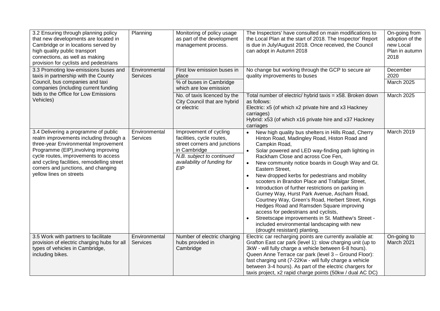| 3.2 Ensuring through planning policy<br>that new developments are located in<br>Cambridge or in locations served by<br>high quality public transport<br>connections, as well as making<br>provision for cyclists and pedestrians                                                                                       | Planning                                                                                                                                                                                                   | Monitoring of policy usage<br>as part of the development<br>management process.           | The Inspectors' have consulted on main modifications to<br>the Local Plan at the start of 2018. The Inspector' Report<br>is due in July/August 2018. Once received, the Council<br>can adopt in Autumn 2018                                                                                                                                                                                                                                                                                                                                                                                                                                                                                                                                                                                               | On-going from<br>adoption of the<br>new Local<br>Plan in autumn<br>2018 |
|------------------------------------------------------------------------------------------------------------------------------------------------------------------------------------------------------------------------------------------------------------------------------------------------------------------------|------------------------------------------------------------------------------------------------------------------------------------------------------------------------------------------------------------|-------------------------------------------------------------------------------------------|-----------------------------------------------------------------------------------------------------------------------------------------------------------------------------------------------------------------------------------------------------------------------------------------------------------------------------------------------------------------------------------------------------------------------------------------------------------------------------------------------------------------------------------------------------------------------------------------------------------------------------------------------------------------------------------------------------------------------------------------------------------------------------------------------------------|-------------------------------------------------------------------------|
| 3.3 Promoting low-emissions buses and<br>taxis in partnership with the County<br>Council, bus companies and taxi<br>companies (including current funding<br>bids to the Office for Low Emissions                                                                                                                       | Environmental<br><b>Services</b>                                                                                                                                                                           | First low emission buses in<br>place<br>% of buses in Cambridge<br>which are low emission | No change but working through the GCP to secure air<br>quality improvements to buses                                                                                                                                                                                                                                                                                                                                                                                                                                                                                                                                                                                                                                                                                                                      | December<br>2020<br>March 2025                                          |
| Vehicles)                                                                                                                                                                                                                                                                                                              |                                                                                                                                                                                                            | No. of taxis licenced by the<br>City Council that are hybrid<br>or electric               | Total number of electric/ hybrid taxis = x58. Broken down<br>as follows:<br>Electric: x5 (of which x2 private hire and x3 Hackney<br>carriages)<br>Hybrid: x53 (of which x16 private hire and x37 Hackney<br>carriages                                                                                                                                                                                                                                                                                                                                                                                                                                                                                                                                                                                    | March 2025                                                              |
| 3.4 Delivering a programme of public<br>realm improvements including through a<br>three-year Environmental Improvement<br>Programme (EIP), involving improving<br>cycle routes, improvements to access<br>and cycling facilities, remodelling street<br>corners and junctions, and changing<br>yellow lines on streets | Environmental<br>Improvement of cycling<br>facilities, cycle routes,<br>Services<br>street corners and junctions<br>in Cambridge<br>N.B. subject to continued<br>availability of funding for<br><b>EIP</b> |                                                                                           | New high quality bus shelters in Hills Road, Cherry<br>$\bullet$<br>Hinton Road, Madingley Road, Histon Road and<br>Campkin Road,<br>Solar powered and LED way-finding path lighting in<br>Rackham Close and across Coe Fen,<br>New community notice boards in Gough Way and Gt.<br>$\bullet$<br>Eastern Street.<br>New dropped kerbs for pedestrians and mobility<br>scooters in Brandon Place and Trafalgar Street,<br>Introduction of further restrictions on parking in<br>Gurney Way, Hurst Park Avenue, Ascham Road,<br>Courtney Way, Green's Road, Herbert Street, Kings<br>Hedges Road and Ramsden Square improving<br>access for pedestrians and cyclists,<br>Streetscape improvements in St. Matthew's Street -<br>included environmental landscaping with new<br>(drought resistant) planting. | March 2019                                                              |
| 3.5 Work with partners to facilitate<br>provision of electric charging hubs for all<br>types of vehicles in Cambridge,<br>including bikes.                                                                                                                                                                             | Environmental<br><b>Services</b>                                                                                                                                                                           | Number of electric charging<br>hubs provided in<br>Cambridge                              | Electric car recharging points are currently available at:<br>Grafton East car park (level 1): slow charging unit (up to<br>3kW - will fully charge a vehicle between 6-8 hours).<br>Queen Anne Terrace car park (level 3 - Ground Floor):<br>fast charging unit (7-22Kw - will fully charge a vehicle<br>between 3-4 hours). As part of the electric chargers for<br>taxis project, x2 rapid charge points (50kw / dual AC DC)                                                                                                                                                                                                                                                                                                                                                                           | On-going to<br>March 2021                                               |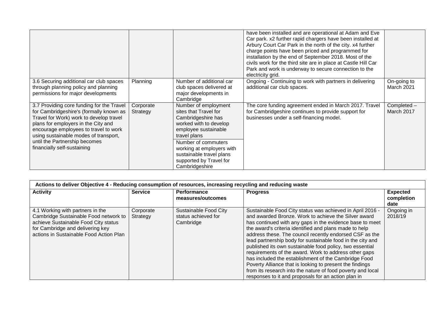|                                                                                                                                                                                                                                                          |                                       |                                                                                                                           | have been installed and are operational at Adam and Eve<br>Car park. x2 further rapid chargers have been installed at<br>Arbury Court Car Park in the north of the city. x4 further<br>charge points have been priced and programmed for<br>installation by the end of September 2018. Most of the<br>civils work for the third site are in place at Castle Hill Car<br>Park and work is underway to secure connection to the<br>electricity grid. |                           |
|----------------------------------------------------------------------------------------------------------------------------------------------------------------------------------------------------------------------------------------------------------|---------------------------------------|---------------------------------------------------------------------------------------------------------------------------|----------------------------------------------------------------------------------------------------------------------------------------------------------------------------------------------------------------------------------------------------------------------------------------------------------------------------------------------------------------------------------------------------------------------------------------------------|---------------------------|
| 3.6 Securing additional car club spaces<br>through planning policy and planning<br>permissions for major developments                                                                                                                                    | Planning                              | Number of additional car<br>club spaces delivered at<br>major developments in<br>Cambridge                                | Ongoing - Continuing to work with partners in delivering<br>additional car club spaces.                                                                                                                                                                                                                                                                                                                                                            | On-going to<br>March 2021 |
| 3.7 Providing core funding for the Travel<br>for Cambridgeshire's (formally known as<br>Travel for Work) work to develop travel<br>plans for employers in the City and<br>encourage employees to travel to work<br>using sustainable modes of transport, | Corporate<br>Strategy<br>travel plans | Number of employment<br>sites that Travel for<br>Cambridgeshire has<br>worked with to develop<br>employee sustainable     | The core funding agreement ended in March 2017. Travel<br>for Cambridgeshire continues to provide support for<br>businesses under a self-financing model.                                                                                                                                                                                                                                                                                          | Completed -<br>March 2017 |
| until the Partnership becomes<br>financially self-sustaining                                                                                                                                                                                             |                                       | Number of commuters<br>working at employers with<br>sustainable travel plans<br>supported by Travel for<br>Cambridgeshire |                                                                                                                                                                                                                                                                                                                                                                                                                                                    |                           |

| Actions to deliver Objective 4 - Reducing consumption of resources, increasing recycling and reducing waste                                                                                      |                       |                                                           |                                                                                                                                                                                                                                                                                                                                                                                                                                                                                                                                                                                                                                                                                                                                 |                               |  |  |  |  |
|--------------------------------------------------------------------------------------------------------------------------------------------------------------------------------------------------|-----------------------|-----------------------------------------------------------|---------------------------------------------------------------------------------------------------------------------------------------------------------------------------------------------------------------------------------------------------------------------------------------------------------------------------------------------------------------------------------------------------------------------------------------------------------------------------------------------------------------------------------------------------------------------------------------------------------------------------------------------------------------------------------------------------------------------------------|-------------------------------|--|--|--|--|
| <b>Activity</b>                                                                                                                                                                                  | <b>Service</b>        | <b>Performance</b><br>measures/outcomes                   | <b>Progress</b>                                                                                                                                                                                                                                                                                                                                                                                                                                                                                                                                                                                                                                                                                                                 | <b>Expected</b><br>completion |  |  |  |  |
|                                                                                                                                                                                                  |                       |                                                           |                                                                                                                                                                                                                                                                                                                                                                                                                                                                                                                                                                                                                                                                                                                                 | date                          |  |  |  |  |
| 4.1 Working with partners in the<br>Cambridge Sustainable Food network to<br>achieve Sustainable Food City status<br>for Cambridge and delivering key<br>actions in Sustainable Food Action Plan | Corporate<br>Strategy | Sustainable Food City<br>status achieved for<br>Cambridge | Sustainable Food City status was achieved in April 2016 -<br>and awarded Bronze. Work to achieve the Silver award<br>has continued with any gaps in the evidence base to meet<br>the award's criteria identified and plans made to help<br>address these. The council recently endorsed CSF as the<br>lead partnership body for sustainable food in the city and<br>published its own sustainable food policy, two essential<br>requirements of the award. Work to address other gaps<br>has included the establishment of the Cambridge Food<br>Poverty Alliance that is looking to present the findings<br>from its research into the nature of food poverty and local<br>responses to it and proposals for an action plan in | Ongoing in<br>2018/19         |  |  |  |  |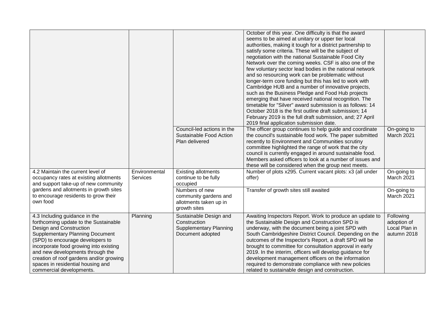|                                                                                                                                                                                                                                                                                                                                                                           |                           |                                                                                             | October of this year. One difficulty is that the award<br>seems to be aimed at unitary or upper tier local<br>authorities, making it tough for a district partnership to<br>satisfy some criteria. These will be the subject of<br>negotiation with the national Sustainable Food City<br>Network over the coming weeks. CSF is also one of the<br>few voluntary sector lead bodies in the national network<br>and so resourcing work can be problematic without<br>longer-term core funding but this has led to work with<br>Cambridge HUB and a number of innovative projects,<br>such as the Business Pledge and Food Hub projects<br>emerging that have received national recognition. The<br>timetable for "Silver" award submission is as follows: 14<br>October 2018 is the first outline draft submission; 14<br>February 2019 is the full draft submission, and; 27 April<br>2019 final application submission date. |                                                          |
|---------------------------------------------------------------------------------------------------------------------------------------------------------------------------------------------------------------------------------------------------------------------------------------------------------------------------------------------------------------------------|---------------------------|---------------------------------------------------------------------------------------------|-------------------------------------------------------------------------------------------------------------------------------------------------------------------------------------------------------------------------------------------------------------------------------------------------------------------------------------------------------------------------------------------------------------------------------------------------------------------------------------------------------------------------------------------------------------------------------------------------------------------------------------------------------------------------------------------------------------------------------------------------------------------------------------------------------------------------------------------------------------------------------------------------------------------------------|----------------------------------------------------------|
|                                                                                                                                                                                                                                                                                                                                                                           |                           | Council-led actions in the<br>Sustainable Food Action<br>Plan delivered                     | The officer group continues to help guide and coordinate<br>the council's sustainable food work. The paper submitted<br>recently to Environment and Communities scrutiny<br>committee highlighted the range of work that the city<br>council is currently engaged in around sustainable food.<br>Members asked officers to look at a number of issues and<br>these will be considered when the group next meets.                                                                                                                                                                                                                                                                                                                                                                                                                                                                                                              | On-going to<br>March 2021                                |
| 4.2 Maintain the current level of<br>occupancy rates at existing allotments<br>and support take-up of new community                                                                                                                                                                                                                                                       | Environmental<br>Services | <b>Existing allotments</b><br>continue to be fully<br>occupied                              | Number of plots x295. Current vacant plots: x3 (all under<br>offer)                                                                                                                                                                                                                                                                                                                                                                                                                                                                                                                                                                                                                                                                                                                                                                                                                                                           | On-going to<br>March 2021                                |
| gardens and allotments in growth sites<br>to encourage residents to grow their<br>own food                                                                                                                                                                                                                                                                                |                           | Numbers of new<br>community gardens and<br>allotments taken up in<br>growth sites           | Transfer of growth sites still awaited                                                                                                                                                                                                                                                                                                                                                                                                                                                                                                                                                                                                                                                                                                                                                                                                                                                                                        | On-going to<br>March 2021                                |
| 4.3 Including guidance in the<br>forthcoming update to the Sustainable<br>Design and Construction<br><b>Supplementary Planning Document</b><br>(SPD) to encourage developers to<br>incorporate food growing into existing<br>and new developments through the<br>creation of roof gardens and/or growing<br>spaces in residential housing and<br>commercial developments. | Planning                  | Sustainable Design and<br>Construction<br><b>Supplementary Planning</b><br>Document adopted | Awaiting Inspectors Report. Work to produce an update to<br>the Sustainable Design and Construction SPD is<br>underway, with the document being a joint SPD with<br>South Cambridgeshire District Council. Depending on the<br>outcomes of the Inspector's Report, a draft SPD will be<br>brought to committee for consultation approval in early<br>2019. In the interim, officers will develop guidance for<br>development management officers on the information<br>required to demonstrate compliance with new policies<br>related to sustainable design and construction.                                                                                                                                                                                                                                                                                                                                                | Following<br>adoption of<br>Local Plan in<br>autumn 2018 |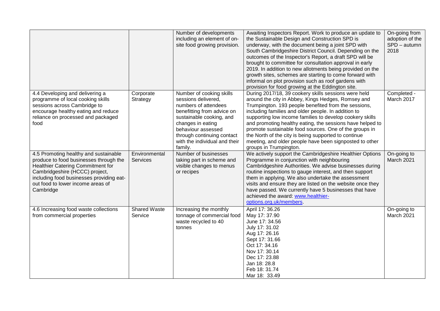|                                                                                                                                                                                                                                                             |                                  | Number of developments<br>including an element of on-<br>site food growing provision.                                                                                                                                                                  | Awaiting Inspectors Report. Work to produce an update to<br>the Sustainable Design and Construction SPD is<br>underway, with the document being a joint SPD with<br>South Cambridgeshire District Council. Depending on the<br>outcomes of the Inspector's Report, a draft SPD will be<br>brought to committee for consultation approval in early<br>2019. In addition to new allotments being provided on the<br>growth sites, schemes are starting to come forward with<br>informal on plot provision such as roof gardens with<br>provision for food growing at the Eddington site. | On-going from<br>adoption of the<br>SPD - autumn<br>2018 |
|-------------------------------------------------------------------------------------------------------------------------------------------------------------------------------------------------------------------------------------------------------------|----------------------------------|--------------------------------------------------------------------------------------------------------------------------------------------------------------------------------------------------------------------------------------------------------|----------------------------------------------------------------------------------------------------------------------------------------------------------------------------------------------------------------------------------------------------------------------------------------------------------------------------------------------------------------------------------------------------------------------------------------------------------------------------------------------------------------------------------------------------------------------------------------|----------------------------------------------------------|
| 4.4 Developing and delivering a<br>programme of local cooking skills<br>sessions across Cambridge to<br>encourage healthy eating and reduce<br>reliance on processed and packaged<br>food                                                                   | Corporate<br>Strategy            | Number of cooking skills<br>sessions delivered,<br>numbers of attendees<br>benefitting from advice on<br>sustainable cooking, and<br>changes in eating<br>behaviour assessed<br>through continuing contact<br>with the individual and their<br>family. | During 2017/18, 39 cookery skills sessions were held<br>around the city in Abbey, Kings Hedges, Romsey and<br>Trumpington. 193 people benefited from the sessions,<br>including families and older people. In addition to<br>supporting low income families to develop cookery skills<br>and promoting healthy eating, the sessions have helped to<br>promote sustainable food sources. One of the groups in<br>the North of the city is being supported to continue<br>meeting, and older people have been signposted to other<br>groups in Trumpington.                              | Completed -<br>March 2017                                |
| 4.5 Promoting healthy and sustainable<br>produce to food businesses through the<br><b>Healthier Catering Commitment for</b><br>Cambridgeshire (HCCC) project,<br>including food businesses providing eat-<br>out food to lower income areas of<br>Cambridge | Environmental<br><b>Services</b> | Number of businesses<br>taking part in scheme and<br>visible changes to menus<br>or recipes                                                                                                                                                            | We actively support the Cambridgeshire Healthier Options<br>Programme in conjunction with neighbouring<br>Cambridgeshire Authorities. We advise businesses during<br>routine inspections to gauge interest, and then support<br>them in applying. We also undertake the assessment<br>visits and ensure they are listed on the website once they<br>have passed. We currently have 5 businesses that have<br>achieved the award: www.healthier-<br>options.org.uk/members.                                                                                                             | On-going to<br>March 2021                                |
| 4.6 Increasing food waste collections<br>from commercial properties                                                                                                                                                                                         | <b>Shared Waste</b><br>Service   | Increasing the monthly<br>tonnage of commercial food<br>waste recycled to 40<br>tonnes                                                                                                                                                                 | April 17: 36.26<br>May 17: 37.90<br>June 17: 34.56<br>July 17: 31.02<br>Aug 17: 26.16<br>Sept 17: 31.66<br>Oct 17: 34.16<br>Nov 17: 30.14<br>Dec 17: 23.88<br>Jan 18: 28.8<br>Feb 18: 31.74<br>Mar 18: 33.49                                                                                                                                                                                                                                                                                                                                                                           | On-going to<br>March 2021                                |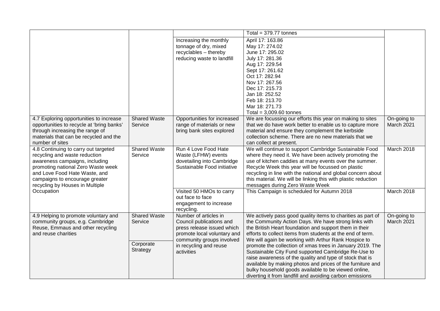|                                                                                                                                                                                                                                                     |                                |                                                                                                                | Total = $379.77$ tonnes                                                                                                                                                                                                                                                                                                                                                                               |                           |
|-----------------------------------------------------------------------------------------------------------------------------------------------------------------------------------------------------------------------------------------------------|--------------------------------|----------------------------------------------------------------------------------------------------------------|-------------------------------------------------------------------------------------------------------------------------------------------------------------------------------------------------------------------------------------------------------------------------------------------------------------------------------------------------------------------------------------------------------|---------------------------|
|                                                                                                                                                                                                                                                     |                                | Increasing the monthly<br>tonnage of dry, mixed<br>recyclables - thereby<br>reducing waste to landfill         | April 17: 163.86<br>May 17: 274.02<br>June 17: 295.02<br>July 17: 281.36<br>Aug 17: 229.54<br>Sept 17: 261.62<br>Oct 17: 282.94<br>Nov 17: 267.56<br>Dec 17: 215.73<br>Jan 18: 252.52<br>Feb 18: 213.70<br>Mar 18: 271.73<br>Total = $3,009.60$ tonnes                                                                                                                                                |                           |
| 4.7 Exploring opportunities to increase<br>opportunities to recycle at 'bring banks'<br>through increasing the range of<br>materials that can be recycled and the<br>number of sites                                                                | <b>Shared Waste</b><br>Service | Opportunities for increased<br>range of materials or new<br>bring bank sites explored                          | We are focussing our efforts this year on making to sites<br>that we do have work better to enable us to capture more<br>material and ensure they complement the kerbside<br>collection scheme. There are no new materials that we<br>can collect at present.                                                                                                                                         | On-going to<br>March 2021 |
| 4.8 Continuing to carry out targeted<br>recycling and waste reduction<br>awareness campaigns, including<br>promoting national Zero Waste week<br>and Love Food Hate Waste, and<br>campaigns to encourage greater<br>recycling by Houses in Multiple | <b>Shared Waste</b><br>Service | Run 4 Love Food Hate<br>Waste (LFHW) events<br>dovetailing into Cambridge<br>Sustainable Food initiative       | We will continue to support Cambridge Sustainable Food<br>where they need it. We have been actively promoting the<br>use of kitchen caddies at many events over the summer.<br>Recycle Week this year will be focussed on plastic<br>recycling in line with the national and global concern about<br>this material. We will be linking this with plastic reduction<br>messages during Zero Waste Week | March 2018                |
| Occupation                                                                                                                                                                                                                                          |                                | Visited 50 HMOs to carry<br>out face to face<br>engagement to increase<br>recycling.                           | This Campaign is scheduled for Autumn 2018                                                                                                                                                                                                                                                                                                                                                            | March 2018                |
| 4.9 Helping to promote voluntary and<br>community groups, e.g. Cambridge<br>Reuse, Emmaus and other recycling<br>and reuse charities                                                                                                                | <b>Shared Waste</b><br>Service | Number of articles in<br>Council publications and<br>press release issued which<br>promote local voluntary and | We actively pass good quality items to charities as part of<br>the Community Action Days. We have strong links with<br>the British Heart foundation and support them in their<br>efforts to collect items from students at the end of term.<br>We will again be working with Arthur Rank Hospice to                                                                                                   | On-going to<br>March 2021 |
|                                                                                                                                                                                                                                                     | Corporate<br>Strategy          | community groups involved<br>in recycling and reuse<br>activities                                              | promote the collection of xmas trees in January 2019. The<br>Sustainable City Fund supported Cambridge Re-Use to<br>raise awareness of the quality and type of stock that is<br>available by making photos and prices of the furniture and<br>bulky household goods available to be viewed online,<br>diverting it from landfill and avoiding carbon emissions                                        |                           |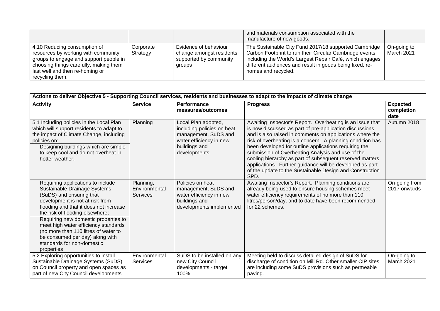|                                                                                                                                                                                                               |                       |                                                                                       | and materials consumption associated with the<br>manufacture of new goods.                                                                                                                                                                                       |                           |
|---------------------------------------------------------------------------------------------------------------------------------------------------------------------------------------------------------------|-----------------------|---------------------------------------------------------------------------------------|------------------------------------------------------------------------------------------------------------------------------------------------------------------------------------------------------------------------------------------------------------------|---------------------------|
| 4.10 Reducing consumption of<br>resources by working with community<br>groups to engage and support people in<br>choosing things carefully, making them<br>last well and then re-homing or<br>recycling them. | Corporate<br>Strategy | Evidence of behaviour<br>change amongst residents<br>supported by community<br>groups | The Sustainable City Fund 2017/18 supported Cambridge<br>Carbon Footprint to run their Circular Cambridge events,<br>including the World's Largest Repair Café, which engages<br>different audiences and result in goods being fixed, re-<br>homes and recycled. | On-going to<br>March 2021 |

| Actions to deliver Objective 5 - Supporting Council services, residents and businesses to adapt to the impacts of climate change                                                                                                                                                                                                                                                                                     |                                               |                                                                                                                                       |                                                                                                                                                                                                                                                                                                                                                                                                                                                                                                                                                          |                                       |  |  |  |
|----------------------------------------------------------------------------------------------------------------------------------------------------------------------------------------------------------------------------------------------------------------------------------------------------------------------------------------------------------------------------------------------------------------------|-----------------------------------------------|---------------------------------------------------------------------------------------------------------------------------------------|----------------------------------------------------------------------------------------------------------------------------------------------------------------------------------------------------------------------------------------------------------------------------------------------------------------------------------------------------------------------------------------------------------------------------------------------------------------------------------------------------------------------------------------------------------|---------------------------------------|--|--|--|
| <b>Activity</b>                                                                                                                                                                                                                                                                                                                                                                                                      | <b>Service</b>                                | Performance<br>measures/outcomes                                                                                                      | <b>Progress</b>                                                                                                                                                                                                                                                                                                                                                                                                                                                                                                                                          | <b>Expected</b><br>completion<br>date |  |  |  |
| 5.1 Including policies in the Local Plan<br>which will support residents to adapt to<br>the impact of Climate Change, including<br>policies on:<br>Designing buildings which are simple<br>to keep cool and do not overheat in<br>hotter weather;                                                                                                                                                                    | Planning                                      | Local Plan adopted,<br>including policies on heat<br>management, SuDS and<br>water efficiency in new<br>buildings and<br>developments | Awaiting Inspector's Report. Overheating is an issue that<br>is now discussed as part of pre-application discussions<br>and is also raised in comments on applications where the<br>risk of overheating is a concern. A planning condition has<br>been developed for outline applications requiring the<br>submission of Overheating Analysis and use of the<br>cooling hierarchy as part of subsequent reserved matters<br>applications. Further guidance will be developed as part<br>of the update to the Sustainable Design and Construction<br>SPD. | Autumn 2018                           |  |  |  |
| Requiring applications to include<br>Sustainable Drainage Systems<br>(SuDS) and ensuring that<br>development is not at risk from<br>flooding and that it does not increase<br>the risk of flooding elsewhere;<br>Requiring new domestic properties to<br>meet high water efficiency standards<br>(no more than 110 litres of water to<br>be consumed per day) along with<br>standards for non-domestic<br>properties | Planning,<br>Environmental<br><b>Services</b> | Policies on heat<br>management, SuDS and<br>water efficiency in new<br>buildings and<br>developments implemented                      | Awaiting Inspector's Report. Planning conditions are<br>already being used to ensure housing schemes meet<br>water efficiency requirements of no more than 110<br>litres/person/day, and to date have been recommended<br>for 22 schemes.                                                                                                                                                                                                                                                                                                                | On-going from<br>2017 onwards         |  |  |  |
| 5.2 Exploring opportunities to install<br>Sustainable Drainage Systems (SuDS)<br>on Council property and open spaces as<br>part of new City Council developments                                                                                                                                                                                                                                                     | Environmental<br><b>Services</b>              | SuDS to be installed on any<br>new City Council<br>developments - target<br>100%                                                      | Meeting held to discuss detailed design of SuDS for<br>discharge of condition on Mill Rd. Other smaller CIP sites<br>are including some SuDS provisions such as permeable<br>paving.                                                                                                                                                                                                                                                                                                                                                                     | On-going to<br>March 2021             |  |  |  |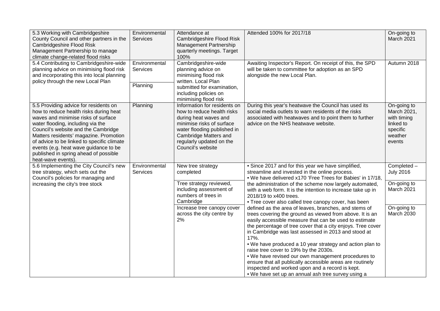| 5.3 Working with Cambridgeshire<br>County Council and other partners in the<br>Cambridgeshire Flood Risk<br>Management Partnership to manage<br>climate change-related flood risks<br>5.4 Contributing to Cambridgeshire-wide<br>planning advice on minimising flood risk<br>and incorporating this into local planning<br>policy through the new Local Plan                                       | Environmental<br><b>Services</b><br>Environmental<br>Services<br>Planning | Attendance at<br>Cambridgeshire Flood Risk<br>Management Partnership<br>quarterly meetings. Target<br>100%<br>Cambridgeshire-wide<br>planning advice on<br>minimising flood risk<br>written. Local Plan<br>submitted for examination,<br>including policies on<br>minimising flood risk | Attended 100% for 2017/18<br>Awaiting Inspector's Report. On receipt of this, the SPD<br>will be taken to committee for adoption as an SPD<br>alongside the new Local Plan.                                                                                                                                                                                                                                                                                                                                                                                                                                                                                                                        | On-going to<br>March 2021<br>Autumn 2018                                                |
|----------------------------------------------------------------------------------------------------------------------------------------------------------------------------------------------------------------------------------------------------------------------------------------------------------------------------------------------------------------------------------------------------|---------------------------------------------------------------------------|-----------------------------------------------------------------------------------------------------------------------------------------------------------------------------------------------------------------------------------------------------------------------------------------|----------------------------------------------------------------------------------------------------------------------------------------------------------------------------------------------------------------------------------------------------------------------------------------------------------------------------------------------------------------------------------------------------------------------------------------------------------------------------------------------------------------------------------------------------------------------------------------------------------------------------------------------------------------------------------------------------|-----------------------------------------------------------------------------------------|
| 5.5 Providing advice for residents on<br>how to reduce health risks during heat<br>waves and minimise risks of surface<br>water flooding, including via the<br>Council's website and the Cambridge<br>Matters residents' magazine. Promotion<br>of advice to be linked to specific climate<br>events (e.g. heat wave guidance to be<br>published in spring ahead of possible<br>heat-wave events). | Planning                                                                  | Information for residents on<br>how to reduce health risks<br>during heat waves and<br>minimise risks of surface<br>water flooding published in<br>Cambridge Matters and<br>regularly updated on the<br>Council's website                                                               | During this year's heatwave the Council has used its<br>social media outlets to warn residents of the risks<br>associated with heatwaves and to point them to further<br>advice on the NHS heatwave website.                                                                                                                                                                                                                                                                                                                                                                                                                                                                                       | On-going to<br>March 2021,<br>with timing<br>linked to<br>specific<br>weather<br>events |
| 5.6 Implementing the City Council's new<br>tree strategy, which sets out the<br>Council's policies for managing and<br>increasing the city's tree stock                                                                                                                                                                                                                                            | Environmental<br><b>Services</b>                                          | New tree strategy<br>completed<br>Tree strategy reviewed,<br>including assessment of<br>numbers of trees in                                                                                                                                                                             | • Since 2017 and for this year we have simplified,<br>streamline and invested in the online process.<br>. We have delivered x170 'Free Trees for Babies' in 17/18,<br>the administration of the scheme now largely automated,<br>with a web form. It is the intention to increase take up in<br>2018/19 to x400 trees.                                                                                                                                                                                                                                                                                                                                                                             | Completed -<br><b>July 2016</b><br>On-going to<br>March 2021                            |
|                                                                                                                                                                                                                                                                                                                                                                                                    |                                                                           | Cambridge<br>Increase tree canopy cover<br>across the city centre by<br>2%                                                                                                                                                                                                              | • Tree cover also called tree canopy cover, has been<br>defined as the area of leaves, branches, and stems of<br>trees covering the ground as viewed from above. It is an<br>easily accessible measure that can be used to estimate<br>the percentage of tree cover that a city enjoys. Tree cover<br>in Cambridge was last assessed in 2013 and stood at<br>17%.<br>. We have produced a 10 year strategy and action plan to<br>raise tree cover to 19% by the 2030s.<br>. We have revised our own management procedures to<br>ensure that all publically accessible areas are routinely<br>inspected and worked upon and a record is kept.<br>• We have set up an annual ash tree survey using a | On-going to<br>March 2030                                                               |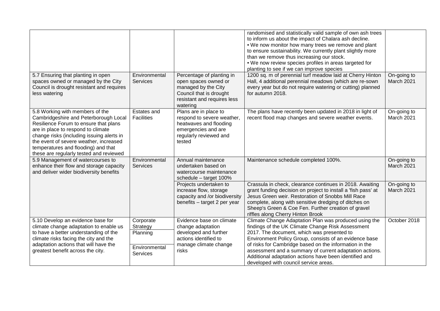| 5.7 Ensuring that planting in open                                                                                                                                                                                                                                                                                               | Environmental                                                         | Percentage of planting in                                                                                                                | randomised and statistically valid sample of own ash trees<br>to inform us about the impact of Chalara ash decline.<br>. We now monitor how many trees we remove and plant<br>to ensure sustainability. We currently plant slightly more<br>than we remove thus increasing our stock.<br>. We now review species profiles in areas targeted for<br>planting to see if we can improve species<br>1200 sq. m of perennial turf meadow laid at Cherry Hinton | On-going to                      |
|----------------------------------------------------------------------------------------------------------------------------------------------------------------------------------------------------------------------------------------------------------------------------------------------------------------------------------|-----------------------------------------------------------------------|------------------------------------------------------------------------------------------------------------------------------------------|-----------------------------------------------------------------------------------------------------------------------------------------------------------------------------------------------------------------------------------------------------------------------------------------------------------------------------------------------------------------------------------------------------------------------------------------------------------|----------------------------------|
| spaces owned or managed by the City<br>Council is drought resistant and requires<br>less watering                                                                                                                                                                                                                                | <b>Services</b>                                                       | open spaces owned or<br>managed by the City<br>Council that is drought<br>resistant and requires less<br>watering                        | Hall, 4 additional perennial meadows (which are re-sown<br>every year but do not require watering or cutting) planned<br>for autumn 2018.                                                                                                                                                                                                                                                                                                                 | March 2021                       |
| 5.8 Working with members of the<br>Cambridgeshire and Peterborough Local<br>Resilience Forum to ensure that plans<br>are in place to respond to climate<br>change risks (including issuing alerts in<br>the event of severe weather, increased<br>temperatures and flooding) and that<br>these are regularly tested and reviewed | Estates and<br><b>Facilities</b>                                      | Plans are in place to<br>respond to severe weather,<br>heatwaves and flooding<br>emergencies and are<br>regularly reviewed and<br>tested | The plans have recently been updated in 2018 in light of<br>recent flood map changes and severe weather events.                                                                                                                                                                                                                                                                                                                                           | On-going to<br>March 2021        |
| 5.9 Management of watercourses to<br>enhance their flow and storage capacity<br>and deliver wider biodiversity benefits                                                                                                                                                                                                          | Environmental<br>Services                                             | Annual maintenance<br>undertaken based on<br>watercourse maintenance<br>schedule - target 100%                                           | Maintenance schedule completed 100%.                                                                                                                                                                                                                                                                                                                                                                                                                      | On-going to<br><b>March 2021</b> |
|                                                                                                                                                                                                                                                                                                                                  |                                                                       | Projects undertaken to<br>increase flow, storage<br>capacity and /or biodiversity<br>benefits - target 2 per year                        | Crassula in check, clearance continues in 2018. Awaiting<br>grant funding decision on project to install a 'fish pass' at<br>Jesus Green weir. Restoration of Snobbs Mill Race<br>complete, along with sensitive dredging of ditches on<br>Sheep's Green & Coe Fen. Further creation of gravel<br>riffles along Cherry Hinton Brook                                                                                                                       | On-going to<br>March 2021        |
| 5.10 Develop an evidence base for<br>climate change adaptation to enable us<br>to have a better understanding of the<br>climate risks facing the city and the<br>adaptation actions that will have the<br>greatest benefit across the city.                                                                                      | Corporate<br>Strategy<br>Planning<br>Environmental<br><b>Services</b> | Evidence base on climate<br>change adaptation<br>developed and further<br>actions identified to<br>manage climate change<br>risks        | Climate Change Adaptation Plan was produced using the<br>findings of the UK Climate Change Risk Assessment<br>2017. The document, which was presented to<br>Environment Policy Group, consists of an evidence base<br>of risks for Cambridge based on the information in the<br>assessment and a summary of current adaptation actions.<br>Additional adaptation actions have been identified and<br>developed with council service areas.                | October 2018                     |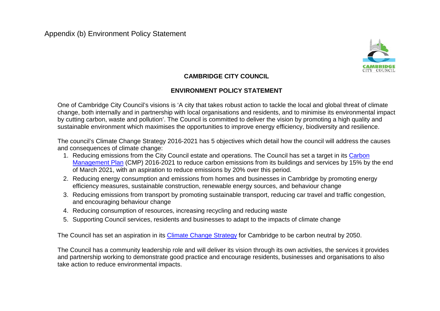

#### **CAMBRIDGE CITY COUNCIL**

#### **ENVIRONMENT POLICY STATEMENT**

One of Cambridge City Council's visions is 'A city that takes robust action to tackle the local and global threat of climate change, both internally and in partnership with local organisations and residents, and to minimise its environmental impact by cutting carbon, waste and pollution'. The Council is committed to deliver the vision by promoting a high quality and sustainable environment which maximises the opportunities to improve energy efficiency, biodiversity and resilience.

The council's Climate Change Strategy 2016-2021 has 5 objectives which detail how the council will address the causes and consequences of climate change:

- 1. Reducing emissions from the City Council estate and operations. The Council has set a target in its [Carbon](https://www.cambridge.gov.uk/carbon-management-plan)  [Management Plan](https://www.cambridge.gov.uk/carbon-management-plan) (CMP) 2016-2021 to reduce carbon emissions from its buildings and services by 15% by the end of March 2021, with an aspiration to reduce emissions by 20% over this period.
- 2. Reducing energy consumption and emissions from homes and businesses in Cambridge by promoting energy efficiency measures, sustainable construction, renewable energy sources, and behaviour change
- 3. Reducing emissions from transport by promoting sustainable transport, reducing car travel and traffic congestion, and encouraging behaviour change
- 4. Reducing consumption of resources, increasing recycling and reducing waste
- 5. Supporting Council services, residents and businesses to adapt to the impacts of climate change

The Council has set an aspiration in its [Climate Change Strategy](https://www.cambridge.gov.uk/climate-change-strategy) for Cambridge to be carbon neutral by 2050.

The Council has a community leadership role and will deliver its vision through its own activities, the services it provides and partnership working to demonstrate good practice and encourage residents, businesses and organisations to also take action to reduce environmental impacts.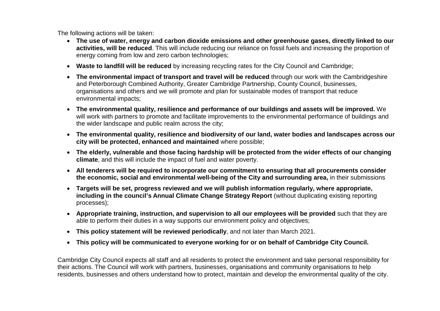The following actions will be taken:

- **The use of water, energy and carbon dioxide emissions and other greenhouse gases, directly linked to our activities, will be reduced**. This will include reducing our reliance on fossil fuels and increasing the proportion of energy coming from low and zero carbon technologies;
- **Waste to landfill will be reduced** by increasing recycling rates for the City Council and Cambridge;
- **The environmental impact of transport and travel will be reduced** through our work with the Cambridgeshire and Peterborough Combined Authority, Greater Cambridge Partnership, County Council, businesses, organisations and others and we will promote and plan for sustainable modes of transport that reduce environmental impacts;
- **The environmental quality, resilience and performance of our buildings and assets will be improved.** We will work with partners to promote and facilitate improvements to the environmental performance of buildings and the wider landscape and public realm across the city;
- **The environmental quality, resilience and biodiversity of our land, water bodies and landscapes across our city will be protected, enhanced and maintained** where possible;
- **The elderly, vulnerable and those facing hardship will be protected from the wider effects of our changing climate**, and this will include the impact of fuel and water poverty.
- **All tenderers will be required to incorporate our commitment to ensuring that all procurements consider the economic, social and environmental well-being of the City and surrounding area,** in their submissions
- **Targets will be set, progress reviewed and we will publish information regularly, where appropriate, including in the council's Annual Climate Change Strategy Report** (without duplicating existing reporting processes);
- **Appropriate training, instruction, and supervision to all our employees will be provided** such that they are able to perform their duties in a way supports our environment policy and objectives;
- **This policy statement will be reviewed periodically**, and not later than March 2021.
- **This policy will be communicated to everyone working for or on behalf of Cambridge City Council.**

Cambridge City Council expects all staff and all residents to protect the environment and take personal responsibility for their actions. The Council will work with partners, businesses, organisations and community organisations to help residents, businesses and others understand how to protect, maintain and develop the environmental quality of the city.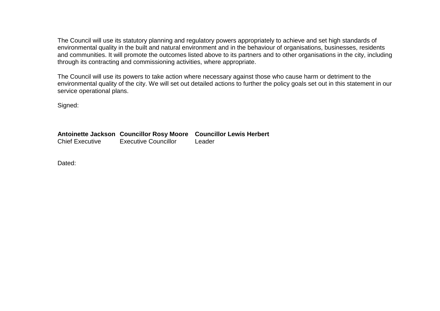The Council will use its statutory planning and regulatory powers appropriately to achieve and set high standards of environmental quality in the built and natural environment and in the behaviour of organisations, businesses, residents and communities. It will promote the outcomes listed above to its partners and to other organisations in the city, including through its contracting and commissioning activities, where appropriate.

The Council will use its powers to take action where necessary against those who cause harm or detriment to the environmental quality of the city. We will set out detailed actions to further the policy goals set out in this statement in our service operational plans.

Signed:

**Antoinette Jackson Councillor Rosy Moore Councillor Lewis Herbert** Executive Councillor Leader

Dated: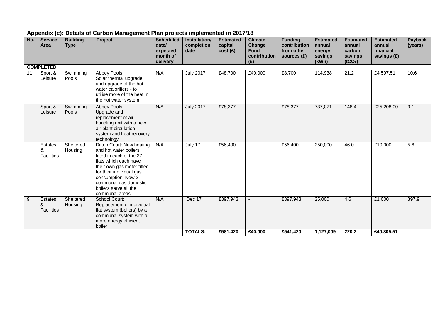|     | Appendix (c): Details of Carbon Management Plan projects implemented in 2017/18 |                                |                                                                                                                                                                                                                                                              |                                                               |                                     |                                        |                                                                |                                                               |                                                          |                                                                        |                                                          |                    |
|-----|---------------------------------------------------------------------------------|--------------------------------|--------------------------------------------------------------------------------------------------------------------------------------------------------------------------------------------------------------------------------------------------------------|---------------------------------------------------------------|-------------------------------------|----------------------------------------|----------------------------------------------------------------|---------------------------------------------------------------|----------------------------------------------------------|------------------------------------------------------------------------|----------------------------------------------------------|--------------------|
| No. | <b>Service</b><br>Area                                                          | <b>Building</b><br><b>Type</b> | Project                                                                                                                                                                                                                                                      | <b>Scheduled</b><br>date/<br>expected<br>month of<br>delivery | Installation/<br>completion<br>date | <b>Estimated</b><br>capital<br>cost(f) | <b>Climate</b><br>Change<br><b>Fund</b><br>contribution<br>(E) | <b>Funding</b><br>contribution<br>from other<br>sources $(E)$ | <b>Estimated</b><br>annual<br>energy<br>savings<br>(kWh) | <b>Estimated</b><br>annual<br>carbon<br>savings<br>(tCO <sub>2</sub> ) | <b>Estimated</b><br>annual<br>financial<br>savings $(E)$ | Payback<br>(years) |
|     | <b>COMPLETED</b>                                                                |                                |                                                                                                                                                                                                                                                              |                                                               |                                     |                                        |                                                                |                                                               |                                                          |                                                                        |                                                          |                    |
| 11  | Sport &<br>Leisure                                                              | Swimming<br>Pools              | Abbey Pools:<br>Solar thermal upgrade<br>and upgrade of the hot<br>water calorifiers - to<br>utilise more of the heat in<br>the hot water system                                                                                                             | N/A                                                           | <b>July 2017</b>                    | £48,700                                | £40,000                                                        | £8,700                                                        | 114,938                                                  | 21.2                                                                   | £4,597.51                                                | 10.6               |
|     | Sport &<br>Leisure                                                              | Swimming<br>Pools              | Abbey Pools:<br>Upgrade and<br>replacement of air<br>handling unit with a new<br>air plant circulation<br>system and heat recovery<br>technology.                                                                                                            | N/A                                                           | <b>July 2017</b>                    | £78,377                                | $\sim$                                                         | £78,377                                                       | 737,071                                                  | 148.4                                                                  | £25,208.00                                               | 3.1                |
|     | Estates<br>&<br><b>Facilities</b>                                               | Sheltered<br>Housing           | Ditton Court: New heating<br>and hot water boilers<br>fitted in each of the 27<br>flats which each have<br>their own gas meter fitted<br>for their individual gas<br>consumption. Now 2<br>communal gas domestic<br>boilers serve all the<br>communal areas. | N/A                                                           | July 17                             | £56,400                                |                                                                | £56,400                                                       | 250,000                                                  | 46.0                                                                   | £10,000                                                  | 5.6                |
| 9   | <b>Estates</b><br>&<br><b>Facilities</b>                                        | Sheltered<br>Housing           | School Court:<br>Replacement of individual<br>flat system (boilers) by a<br>communal system with a<br>more energy efficient<br>boiler.                                                                                                                       | N/A                                                           | Dec 17                              | £397,943                               | $\blacksquare$                                                 | £397,943                                                      | 25,000                                                   | 4.6                                                                    | £1,000                                                   | 397.9              |
|     |                                                                                 |                                |                                                                                                                                                                                                                                                              |                                                               | <b>TOTALS:</b>                      | £581,420                               | £40,000                                                        | £541,420                                                      | 1,127,009                                                | 220.2                                                                  | £40,805.51                                               |                    |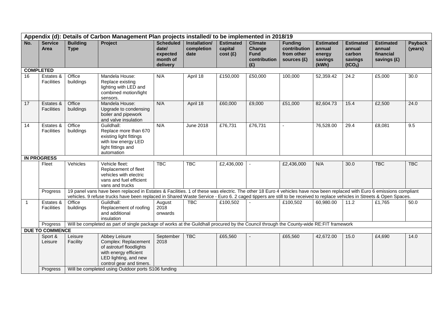|                  | Appendix (d): Details of Carbon Management Plan projects installed/ to be implemented in 2018/19 |                                |                                                                                                                                                                                                              |                                                               |                                     |                                        |                                                                |                                                               |                                                          |                                                                        |                                                        |                    |
|------------------|--------------------------------------------------------------------------------------------------|--------------------------------|--------------------------------------------------------------------------------------------------------------------------------------------------------------------------------------------------------------|---------------------------------------------------------------|-------------------------------------|----------------------------------------|----------------------------------------------------------------|---------------------------------------------------------------|----------------------------------------------------------|------------------------------------------------------------------------|--------------------------------------------------------|--------------------|
| No.              | <b>Service</b><br>Area                                                                           | <b>Building</b><br><b>Type</b> | <b>Project</b>                                                                                                                                                                                               | <b>Scheduled</b><br>date/<br>expected<br>month of<br>delivery | Installation/<br>completion<br>date | <b>Estimated</b><br>capital<br>cost(f) | <b>Climate</b><br>Change<br><b>Fund</b><br>contribution<br>(E) | <b>Funding</b><br>contribution<br>from other<br>sources $(f)$ | <b>Estimated</b><br>annual<br>energy<br>savings<br>(kWh) | <b>Estimated</b><br>annual<br>carbon<br>savings<br>(tCO <sub>2</sub> ) | <b>Estimated</b><br>annual<br>financial<br>savings (£) | Payback<br>(years) |
| <b>COMPLETED</b> |                                                                                                  |                                |                                                                                                                                                                                                              |                                                               |                                     |                                        |                                                                |                                                               |                                                          |                                                                        |                                                        |                    |
| 16               | Estates &<br><b>Facilities</b>                                                                   | Office<br>buildings            | Mandela House:<br>Replace existing<br>lighting with LED and<br>combined motion/light<br>sensors.                                                                                                             | N/A                                                           | April 18                            | £150,000                               | £50,000                                                        | 100,000                                                       | 52,359.42                                                | 24.2                                                                   | £5,000                                                 | 30.0               |
| 17               | Estates &<br><b>Facilities</b>                                                                   | Office<br>buildings            | Mandela House:<br>Upgrade to condensing<br>boiler and pipework<br>and valve insulation                                                                                                                       | N/A                                                           | April 18                            | £60,000                                | £9,000                                                         | £51,000                                                       | 82,604.73                                                | 15.4                                                                   | £2,500                                                 | 24.0               |
| 14               | Estates &<br><b>Facilities</b>                                                                   | Office<br>buildings            | Guildhall:<br>Replace more than 670<br>existing light fittings<br>with low energy LED<br>light fittings and<br>automation                                                                                    | N/A                                                           | June 2018                           | £76,731                                | £76,731                                                        |                                                               | 76,528.00                                                | 29.4                                                                   | £8,081                                                 | 9.5                |
|                  | <b>IN PROGRESS</b>                                                                               |                                |                                                                                                                                                                                                              |                                                               |                                     |                                        |                                                                |                                                               |                                                          |                                                                        |                                                        |                    |
|                  | Fleet                                                                                            | Vehicles                       | Vehicle fleet:<br>Replacement of fleet<br>vehicles with electric<br>vans and fuel efficient<br>vans and trucks                                                                                               | <b>TBC</b>                                                    | <b>TBC</b>                          | £2,436,000                             |                                                                | £2,436,000                                                    | N/A                                                      | 30.0                                                                   | <b>TBC</b>                                             | <b>TBC</b>         |
|                  | Progress                                                                                         |                                | 19 panel vans have been replaced in Estates & Facilities. 1 of these was electric. The other 18 Euro 4 vehicles have now been replaced with Euro 6 emissions compliant                                       |                                                               |                                     |                                        |                                                                |                                                               |                                                          |                                                                        |                                                        |                    |
|                  |                                                                                                  |                                | vehicles. 9 refuse trucks have been replaced in Shared Waste Service - Euro 6. 2 caged tippers are still to be received to replace vehicles in Streets & Open Spaces.                                        |                                                               |                                     |                                        |                                                                |                                                               |                                                          |                                                                        |                                                        |                    |
| $\mathbf{1}$     | Estates &<br><b>Facilities</b>                                                                   | Office<br>buildings            | Guildhall:<br>Replacement of roofing<br>and additional<br>insulation                                                                                                                                         | August<br>2018<br>onwards                                     | <b>TBC</b>                          | £100,502                               |                                                                | £100,502                                                      | 60,980.00                                                | 11.2                                                                   | £1,765                                                 | 50.0               |
|                  | Progress                                                                                         |                                | Will be completed as part of single package of works at the Guildhall procured by the Council through the County-wide RE:FIT framework                                                                       |                                                               |                                     |                                        |                                                                |                                                               |                                                          |                                                                        |                                                        |                    |
|                  | <b>DUE TO COMMENCE</b>                                                                           |                                |                                                                                                                                                                                                              |                                                               |                                     |                                        |                                                                |                                                               |                                                          |                                                                        |                                                        |                    |
|                  | Sport &<br>Leisure                                                                               | Leisure<br>Facility            | <b>Abbey Leisure</b><br>Complex: Replacement<br>of astroturf floodlights<br>with energy efficient<br>LED lighting, and new<br>control gear and timers.<br>Will be completed using Outdoor ports S106 funding | September<br>2018                                             | <b>TBC</b>                          | £65,560                                |                                                                | £65,560                                                       | 42,672.00                                                | 15.0                                                                   | £4,690                                                 | 14.0               |
|                  | Progress                                                                                         |                                |                                                                                                                                                                                                              |                                                               |                                     |                                        |                                                                |                                                               |                                                          |                                                                        |                                                        |                    |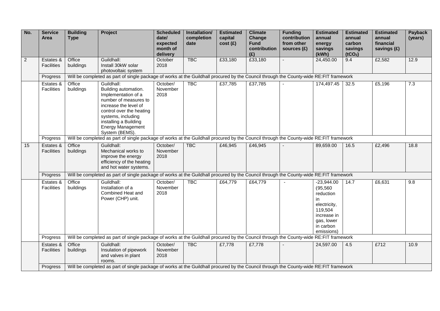| No.            | <b>Service</b><br>Area         | <b>Building</b><br><b>Type</b> | Project                                                                                                                                                                                                                              | <b>Scheduled</b><br>date/<br>expected<br>month of<br>delivery | Installation/<br>completion<br>date | <b>Estimated</b><br>capital<br>cost(f) | <b>Climate</b><br>Change<br><b>Fund</b><br>contribution<br>(E) | <b>Funding</b><br>contribution<br>from other<br>sources (£) | <b>Estimated</b><br>annual<br>energy<br>savings<br>(kWh)                                                                        | <b>Estimated</b><br>annual<br>carbon<br>savings<br>(tCO <sub>2</sub> ) | <b>Estimated</b><br>annual<br>financial<br>savings (£) | <b>Payback</b><br>(years) |
|----------------|--------------------------------|--------------------------------|--------------------------------------------------------------------------------------------------------------------------------------------------------------------------------------------------------------------------------------|---------------------------------------------------------------|-------------------------------------|----------------------------------------|----------------------------------------------------------------|-------------------------------------------------------------|---------------------------------------------------------------------------------------------------------------------------------|------------------------------------------------------------------------|--------------------------------------------------------|---------------------------|
| $\overline{2}$ | Estates &<br><b>Facilities</b> | Office<br>buildings            | Guildhall:<br>Install 30kW solar<br>photovoltaic system                                                                                                                                                                              | October<br>2018                                               | <b>TBC</b>                          | £33,180                                | £33,180                                                        |                                                             | 24,450.00                                                                                                                       | 9.4                                                                    | £2,582                                                 | 12.9                      |
|                | Progress                       |                                | Will be completed as part of single package of works at the Guildhall procured by the Council through the County-wide RE:FIT framework                                                                                               |                                                               |                                     |                                        |                                                                |                                                             |                                                                                                                                 |                                                                        |                                                        |                           |
|                | Estates &<br><b>Facilities</b> | Office<br>buildings            | Guildhall:<br>Building automation.<br>Implementation of a<br>number of measures to<br>increase the level of<br>control over the heating<br>systems, including<br>installing a Building<br><b>Energy Management</b><br>System (BEMS). | October/<br>November<br>2018                                  | <b>TBC</b>                          | £37,785                                | £37,785                                                        |                                                             | 174,497.45                                                                                                                      | 32.5                                                                   | £5,196                                                 | 7.3                       |
|                | Progress                       |                                | Will be completed as part of single package of works at the Guildhall procured by the Council through the County-wide RE:FIT framework                                                                                               |                                                               |                                     |                                        |                                                                |                                                             |                                                                                                                                 |                                                                        |                                                        |                           |
| 15             | Estates &<br>Facilities        | Office<br>buildings            | Guildhall:<br>Mechanical works to<br>improve the energy<br>efficiency of the heating<br>and hot water systems.                                                                                                                       | October/<br>November<br>2018                                  | <b>TBC</b>                          | £46,945                                | £46,945                                                        |                                                             | 89,659.00                                                                                                                       | 16.5                                                                   | £2,496                                                 | 18.8                      |
|                | Progress                       |                                | Will be completed as part of single package of works at the Guildhall procured by the Council through the County-wide RE:FIT framework                                                                                               |                                                               |                                     |                                        |                                                                |                                                             |                                                                                                                                 |                                                                        |                                                        |                           |
|                | Estates &<br>Facilities        | Office<br>buildings            | Guildhall:<br>Installation of a<br>Combined Heat and<br>Power (CHP) unit.                                                                                                                                                            | October/<br>November<br>2018                                  | <b>TBC</b>                          | £64,779                                | £64,779                                                        |                                                             | $-23,944.00$<br>(95, 560)<br>reduction<br>in<br>electricity,<br>119,504<br>increase in<br>gas, lower<br>in carbon<br>emissions) | 14.7                                                                   | £6,631                                                 | 9.8                       |
|                | Progress                       |                                | Will be completed as part of single package of works at the Guildhall procured by the Council through the County-wide RE:FIT framework                                                                                               |                                                               |                                     |                                        |                                                                |                                                             |                                                                                                                                 |                                                                        |                                                        |                           |
|                | Estates &<br><b>Facilities</b> | Office<br>buildings            | Guildhall:<br>Insulation of pipework<br>and valves in plant<br>rooms.                                                                                                                                                                | October/<br>November<br>2018                                  | <b>TBC</b>                          | £7,778                                 | £7,778                                                         |                                                             | 24,597.00                                                                                                                       | 4.5                                                                    | £712                                                   | 10.9                      |
|                | Progress                       |                                | Will be completed as part of single package of works at the Guildhall procured by the Council through the County-wide RE:FIT framework                                                                                               |                                                               |                                     |                                        |                                                                |                                                             |                                                                                                                                 |                                                                        |                                                        |                           |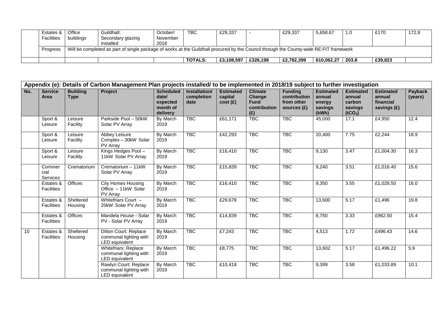|                                                                                                                                                    | Estates &         | <b>Office</b> | Guildhall:        | October/ | TBC            | £29,337    |          | £29,337    | 5,658.67   | 1.0   | £170    | 172.8 |
|----------------------------------------------------------------------------------------------------------------------------------------------------|-------------------|---------------|-------------------|----------|----------------|------------|----------|------------|------------|-------|---------|-------|
|                                                                                                                                                    | <b>Facilities</b> | buildings     | Secondary glazing | November |                |            |          |            |            |       |         |       |
|                                                                                                                                                    |                   |               | installed         | 2018     |                |            |          |            |            |       |         |       |
| Will be completed as part of single package of works at the Guildhall procured by the Council through the County-wide RE:FIT framework<br>Progress |                   |               |                   |          |                |            |          |            |            |       |         |       |
|                                                                                                                                                    |                   |               |                   |          |                |            |          |            |            |       |         |       |
|                                                                                                                                                    |                   |               |                   |          | <b>TOTALS:</b> | £3.108.597 | £326.198 | £2.782.399 | 610.062.27 | 203.8 | £39,823 |       |

| Appendix (e): Details of Carbon Management Plan projects installed/ to be implemented in 2018/19 subject to further investigation |                                |                                |                                                                   |                                                               |                                     |                                        |                                                                |                                                             |                                                          |                                                                        |                                                        |                    |
|-----------------------------------------------------------------------------------------------------------------------------------|--------------------------------|--------------------------------|-------------------------------------------------------------------|---------------------------------------------------------------|-------------------------------------|----------------------------------------|----------------------------------------------------------------|-------------------------------------------------------------|----------------------------------------------------------|------------------------------------------------------------------------|--------------------------------------------------------|--------------------|
| No.                                                                                                                               | <b>Service</b><br>Area         | <b>Building</b><br><b>Type</b> | Project                                                           | <b>Scheduled</b><br>date/<br>expected<br>month of<br>delivery | Installation/<br>completion<br>date | <b>Estimated</b><br>capital<br>cost(E) | <b>Climate</b><br>Change<br><b>Fund</b><br>contribution<br>(E) | <b>Funding</b><br>contribution<br>from other<br>sources (£) | <b>Estimated</b><br>annual<br>energy<br>savings<br>(kWh) | <b>Estimated</b><br>annual<br>carbon<br>savings<br>(tCO <sub>2</sub> ) | <b>Estimated</b><br>annual<br>financial<br>savings (£) | Payback<br>(years) |
|                                                                                                                                   | Sport &<br>Leisure             | Leisure<br>Facility            | Parkside Pool - 50kW<br>Solar PV Array                            | By March<br>2019                                              | <b>TBC</b>                          | £61,171                                | <b>TBC</b>                                                     | <b>TBC</b>                                                  | 45,000                                                   | 17.1                                                                   | £4,950                                                 | 12.4               |
|                                                                                                                                   | Sport &<br>Leisure             | Leisure<br>Facility            | Abbey Leisure<br>Complex - 30kW Solar<br>PV Array                 | By March<br>2019                                              | <b>TBC</b>                          | £42,293                                | <b>TBC</b>                                                     | <b>TBC</b>                                                  | 20,400                                                   | 7.75                                                                   | £2,244                                                 | 18.9               |
|                                                                                                                                   | Sport &<br>Leisure             | Leisure<br>Facility            | Kings Hedges Pool-<br>11kW Solar PV Array                         | By March<br>2019                                              | <b>TBC</b>                          | £16,410                                | <b>TBC</b>                                                     | <b>TBC</b>                                                  | 9,130                                                    | 3.47                                                                   | £1,004.30                                              | 16.3               |
|                                                                                                                                   | Commer<br>cial<br>Services     | Crematorium                    | Crematorium - 11kW<br>Solar PV Array                              | By March<br>2019                                              | <b>TBC</b>                          | £15,839                                | <b>TBC</b>                                                     | <b>TBC</b>                                                  | 9,240                                                    | 3.51                                                                   | £1,016.40                                              | 15.6               |
|                                                                                                                                   | Estates &<br>Facilities        | Offices                        | <b>City Homes Housing</b><br>Office - 11kW Solar<br>PV Array      | By March<br>2019                                              | <b>TBC</b>                          | £16,410                                | <b>TBC</b>                                                     | <b>TBC</b>                                                  | 9,350                                                    | 3.55                                                                   | £1,028.50                                              | 16.0               |
|                                                                                                                                   | Estates &<br>Facilities        | Sheltered<br>Housing           | Whitefriars Court -<br>20kW Solar PV Array                        | By March<br>2019                                              | <b>TBC</b>                          | £29,678                                | <b>TBC</b>                                                     | <b>TBC</b>                                                  | 13,600                                                   | 5.17                                                                   | £1,496                                                 | 19.8               |
|                                                                                                                                   | Estates &<br><b>Facilities</b> | Offices                        | Mandela House - Solar<br>PV - Solar PV Array                      | By March<br>2019                                              | <b>TBC</b>                          | £14,839                                | <b>TBC</b>                                                     | <b>TBC</b>                                                  | 8,750                                                    | 3.33                                                                   | £962.50                                                | 15.4               |
| 10                                                                                                                                | Estates &<br>Facilities        | Sheltered<br>Housing           | Ditton Court: Replace<br>communal lighting with<br>LED equivalent | By March<br>2019                                              | <b>TBC</b>                          | £7,243                                 | <b>TBC</b>                                                     | <b>TBC</b>                                                  | 4,513                                                    | 1.72                                                                   | £496.43                                                | 14.6               |
|                                                                                                                                   |                                |                                | Whitefriars: Replace<br>communal lighting with<br>LED equivalent  | By March<br>2019                                              | <b>TBC</b>                          | £8,775                                 | <b>TBC</b>                                                     | <b>TBC</b>                                                  | 13,602                                                   | 5.17                                                                   | £1,496.22                                              | 5.9                |
|                                                                                                                                   |                                |                                | Rawlyn Court: Replace<br>communal lighting with<br>LED equivalent | By March<br>2019                                              | <b>TBC</b>                          | £10,418                                | <b>TBC</b>                                                     | <b>TBC</b>                                                  | 9,399                                                    | 3.58                                                                   | £1,033.89                                              | 10.1               |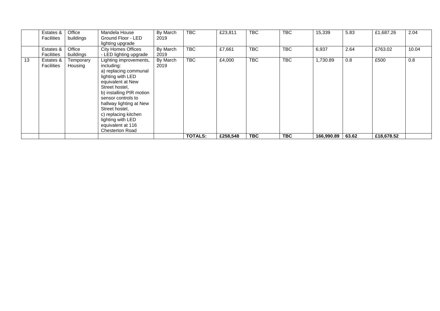|    | Estates &<br><b>Facilities</b> | Office<br>buildings  | Mandela House<br>Ground Floor - LED<br>lighting upgrade                                                                                                                                                                                                                                                              | By March<br>2019 | TBC            | £23,811  | TBC        | <b>TBC</b> | 15,339     | 5.83  | £1,687.26  | 2.04  |
|----|--------------------------------|----------------------|----------------------------------------------------------------------------------------------------------------------------------------------------------------------------------------------------------------------------------------------------------------------------------------------------------------------|------------------|----------------|----------|------------|------------|------------|-------|------------|-------|
|    | Estates &<br>Facilities        | Office<br>buildings  | <b>City Homes Offices</b><br>- LED lighting upgrade                                                                                                                                                                                                                                                                  | By March<br>2019 | <b>TBC</b>     | £7,661   | TBC        | <b>TBC</b> | 6,937      | 2.64  | £763.02    | 10.04 |
| 13 | Estates &<br>Facilities        | Temporary<br>Housing | Lighting improvements,<br>including:<br>a) replacing communal<br>lighting with LED<br>equivalent at New<br>Street hostel,<br>b) installing PIR motion<br>sensor controls to<br>hallway lighting at New<br>Street hostel,<br>c) replacing kitchen<br>lighting with LED<br>equivalent at 116<br><b>Chesterton Road</b> | By March<br>2019 | <b>TBC</b>     | £4,000   | <b>TBC</b> | <b>TBC</b> | 1,730.89   | 0.8   | £500       | 0.8   |
|    |                                |                      |                                                                                                                                                                                                                                                                                                                      |                  | <b>TOTALS:</b> | £258,548 | <b>TBC</b> | <b>TBC</b> | 166,990.89 | 63.62 | £18,678.52 |       |